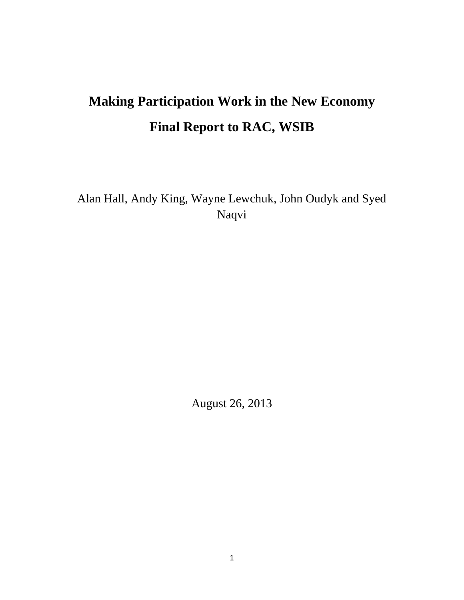# **Making Participation Work in the New Economy Final Report to RAC, WSIB**

Alan Hall, Andy King, Wayne Lewchuk, John Oudyk and Syed Naqvi

August 26, 2013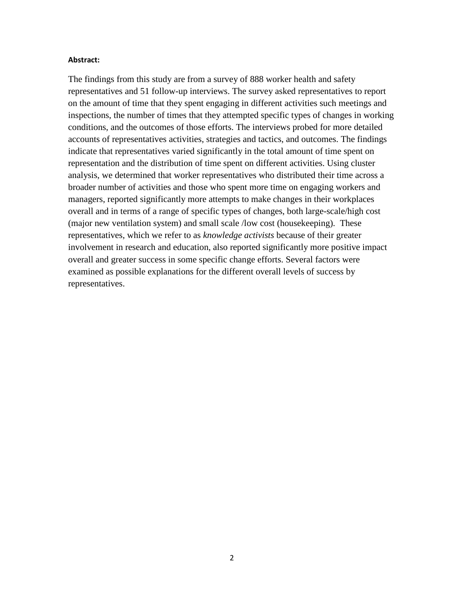#### **Abstract:**

The findings from this study are from a survey of 888 worker health and safety representatives and 51 follow-up interviews. The survey asked representatives to report on the amount of time that they spent engaging in different activities such meetings and inspections, the number of times that they attempted specific types of changes in working conditions, and the outcomes of those efforts. The interviews probed for more detailed accounts of representatives activities, strategies and tactics, and outcomes. The findings indicate that representatives varied significantly in the total amount of time spent on representation and the distribution of time spent on different activities. Using cluster analysis, we determined that worker representatives who distributed their time across a broader number of activities and those who spent more time on engaging workers and managers, reported significantly more attempts to make changes in their workplaces overall and in terms of a range of specific types of changes, both large-scale/high cost (major new ventilation system) and small scale /low cost (housekeeping). These representatives, which we refer to as *knowledge activists* because of their greater involvement in research and education, also reported significantly more positive impact overall and greater success in some specific change efforts. Several factors were examined as possible explanations for the different overall levels of success by representatives.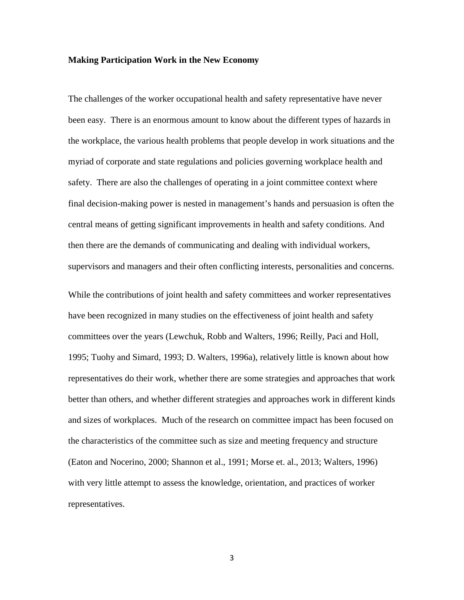#### **Making Participation Work in the New Economy**

The challenges of the worker occupational health and safety representative have never been easy. There is an enormous amount to know about the different types of hazards in the workplace, the various health problems that people develop in work situations and the myriad of corporate and state regulations and policies governing workplace health and safety. There are also the challenges of operating in a joint committee context where final decision-making power is nested in management's hands and persuasion is often the central means of getting significant improvements in health and safety conditions. And then there are the demands of communicating and dealing with individual workers, supervisors and managers and their often conflicting interests, personalities and concerns.

While the contributions of joint health and safety committees and worker representatives have been recognized in many studies on the effectiveness of joint health and safety committees over the years (Lewchuk, Robb and Walters, 1996; Reilly, Paci and Holl, 1995; Tuohy and Simard, 1993; D. Walters, 1996a), relatively little is known about how representatives do their work, whether there are some strategies and approaches that work better than others, and whether different strategies and approaches work in different kinds and sizes of workplaces. Much of the research on committee impact has been focused on the characteristics of the committee such as size and meeting frequency and structure (Eaton and Nocerino, 2000; Shannon et al., 1991; Morse et. al., 2013; Walters, 1996) with very little attempt to assess the knowledge, orientation, and practices of worker representatives.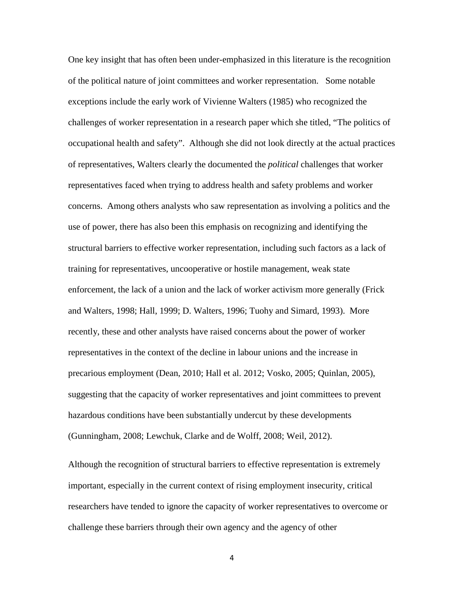One key insight that has often been under-emphasized in this literature is the recognition of the political nature of joint committees and worker representation. Some notable exceptions include the early work of Vivienne Walters (1985) who recognized the challenges of worker representation in a research paper which she titled, "The politics of occupational health and safety". Although she did not look directly at the actual practices of representatives, Walters clearly the documented the *political* challenges that worker representatives faced when trying to address health and safety problems and worker concerns. Among others analysts who saw representation as involving a politics and the use of power, there has also been this emphasis on recognizing and identifying the structural barriers to effective worker representation, including such factors as a lack of training for representatives, uncooperative or hostile management, weak state enforcement, the lack of a union and the lack of worker activism more generally (Frick and Walters, 1998; Hall, 1999; D. Walters, 1996; Tuohy and Simard, 1993). More recently, these and other analysts have raised concerns about the power of worker representatives in the context of the decline in labour unions and the increase in precarious employment (Dean, 2010; Hall et al. 2012; Vosko, 2005; Quinlan, 2005), suggesting that the capacity of worker representatives and joint committees to prevent hazardous conditions have been substantially undercut by these developments (Gunningham, 2008; Lewchuk, Clarke and de Wolff, 2008; Weil, 2012).

Although the recognition of structural barriers to effective representation is extremely important, especially in the current context of rising employment insecurity, critical researchers have tended to ignore the capacity of worker representatives to overcome or challenge these barriers through their own agency and the agency of other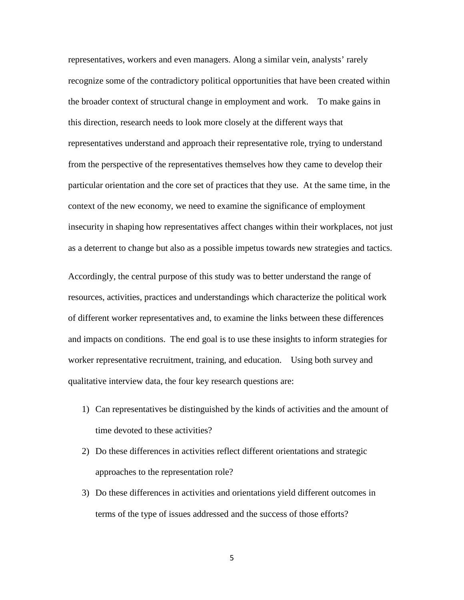representatives, workers and even managers. Along a similar vein, analysts' rarely recognize some of the contradictory political opportunities that have been created within the broader context of structural change in employment and work. To make gains in this direction, research needs to look more closely at the different ways that representatives understand and approach their representative role, trying to understand from the perspective of the representatives themselves how they came to develop their particular orientation and the core set of practices that they use. At the same time, in the context of the new economy, we need to examine the significance of employment insecurity in shaping how representatives affect changes within their workplaces, not just as a deterrent to change but also as a possible impetus towards new strategies and tactics.

Accordingly, the central purpose of this study was to better understand the range of resources, activities, practices and understandings which characterize the political work of different worker representatives and, to examine the links between these differences and impacts on conditions. The end goal is to use these insights to inform strategies for worker representative recruitment, training, and education. Using both survey and qualitative interview data, the four key research questions are:

- 1) Can representatives be distinguished by the kinds of activities and the amount of time devoted to these activities?
- 2) Do these differences in activities reflect different orientations and strategic approaches to the representation role?
- 3) Do these differences in activities and orientations yield different outcomes in terms of the type of issues addressed and the success of those efforts?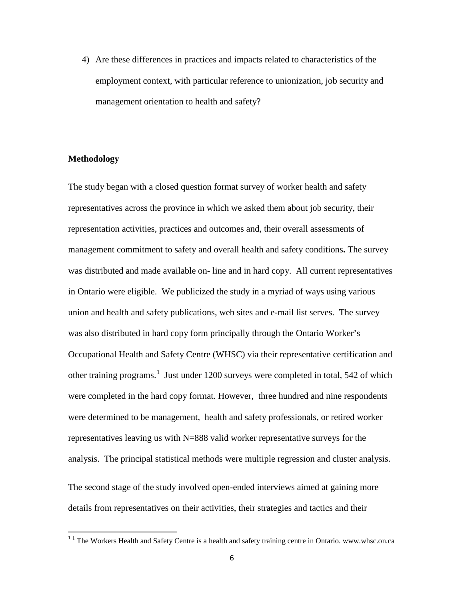4) Are these differences in practices and impacts related to characteristics of the employment context, with particular reference to unionization, job security and management orientation to health and safety?

#### **Methodology**

l

The study began with a closed question format survey of worker health and safety representatives across the province in which we asked them about job security, their representation activities, practices and outcomes and, their overall assessments of management commitment to safety and overall health and safety conditions**.** The survey was distributed and made available on- line and in hard copy. All current representatives in Ontario were eligible. We publicized the study in a myriad of ways using various union and health and safety publications, web sites and e-mail list serves. The survey was also distributed in hard copy form principally through the Ontario Worker's Occupational Health and Safety Centre (WHSC) via their representative certification and other training programs.<sup>[1](#page-5-0)</sup> Just under 1200 surveys were completed in total, 542 of which were completed in the hard copy format. However, three hundred and nine respondents were determined to be management, health and safety professionals, or retired worker representatives leaving us with N=888 valid worker representative surveys for the analysis. The principal statistical methods were multiple regression and cluster analysis. The second stage of the study involved open-ended interviews aimed at gaining more details from representatives on their activities, their strategies and tactics and their

<span id="page-5-0"></span><sup>&</sup>lt;sup>1</sup> <sup>1</sup> The Workers Health and Safety Centre is a health and safety training centre in Ontario. www.whsc.on.ca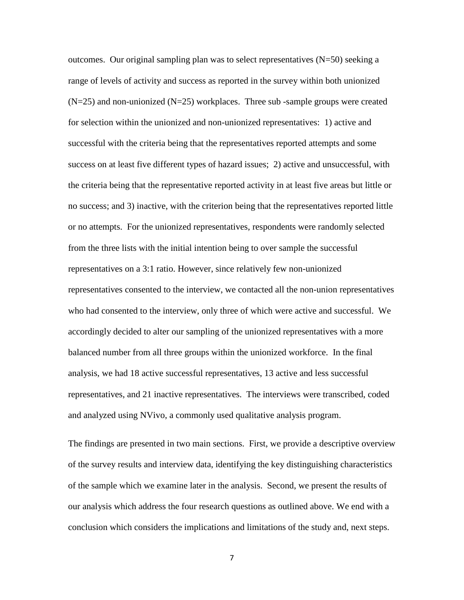outcomes. Our original sampling plan was to select representatives  $(N=50)$  seeking a range of levels of activity and success as reported in the survey within both unionized  $(N=25)$  and non-unionized  $(N=25)$  workplaces. Three sub-sample groups were created for selection within the unionized and non-unionized representatives: 1) active and successful with the criteria being that the representatives reported attempts and some success on at least five different types of hazard issues; 2) active and unsuccessful, with the criteria being that the representative reported activity in at least five areas but little or no success; and 3) inactive, with the criterion being that the representatives reported little or no attempts. For the unionized representatives, respondents were randomly selected from the three lists with the initial intention being to over sample the successful representatives on a 3:1 ratio. However, since relatively few non-unionized representatives consented to the interview, we contacted all the non-union representatives who had consented to the interview, only three of which were active and successful. We accordingly decided to alter our sampling of the unionized representatives with a more balanced number from all three groups within the unionized workforce. In the final analysis, we had 18 active successful representatives, 13 active and less successful representatives, and 21 inactive representatives. The interviews were transcribed, coded and analyzed using NVivo, a commonly used qualitative analysis program.

The findings are presented in two main sections. First, we provide a descriptive overview of the survey results and interview data, identifying the key distinguishing characteristics of the sample which we examine later in the analysis. Second, we present the results of our analysis which address the four research questions as outlined above. We end with a conclusion which considers the implications and limitations of the study and, next steps.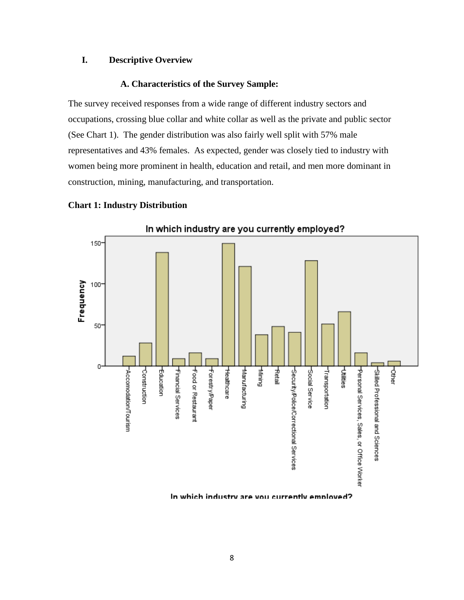# **I. Descriptive Overview**

#### **A. Characteristics of the Survey Sample:**

The survey received responses from a wide range of different industry sectors and occupations, crossing blue collar and white collar as well as the private and public sector (See Chart 1). The gender distribution was also fairly well split with 57% male representatives and 43% females. As expected, gender was closely tied to industry with women being more prominent in health, education and retail, and men more dominant in construction, mining, manufacturing, and transportation.



#### **Chart 1: Industry Distribution**

In which industry are you currently employed?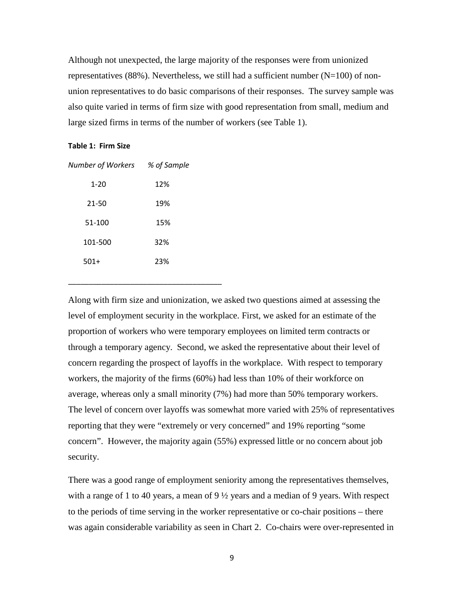Although not unexpected, the large majority of the responses were from unionized representatives  $(88%)$ . Nevertheless, we still had a sufficient number  $(N=100)$  of nonunion representatives to do basic comparisons of their responses. The survey sample was also quite varied in terms of firm size with good representation from small, medium and large sized firms in terms of the number of workers (see Table 1).

#### **Table 1: Firm Size**

| $1 - 20$ | 12% |
|----------|-----|
| 21-50    | 19% |
| 51-100   | 15% |
| 101-500  | 32% |
| $501+$   | 23% |
|          |     |

\_\_\_\_\_\_\_\_\_\_\_\_\_\_\_\_\_\_\_\_\_\_\_\_\_\_\_\_\_\_\_\_\_\_\_\_\_

*Number of Workers % of Sample*

Along with firm size and unionization, we asked two questions aimed at assessing the level of employment security in the workplace. First, we asked for an estimate of the proportion of workers who were temporary employees on limited term contracts or through a temporary agency. Second, we asked the representative about their level of concern regarding the prospect of layoffs in the workplace. With respect to temporary workers, the majority of the firms (60%) had less than 10% of their workforce on average, whereas only a small minority (7%) had more than 50% temporary workers. The level of concern over layoffs was somewhat more varied with 25% of representatives reporting that they were "extremely or very concerned" and 19% reporting "some concern". However, the majority again (55%) expressed little or no concern about job security.

There was a good range of employment seniority among the representatives themselves, with a range of 1 to 40 years, a mean of 9 ½ years and a median of 9 years. With respect to the periods of time serving in the worker representative or co-chair positions – there was again considerable variability as seen in Chart 2. Co-chairs were over-represented in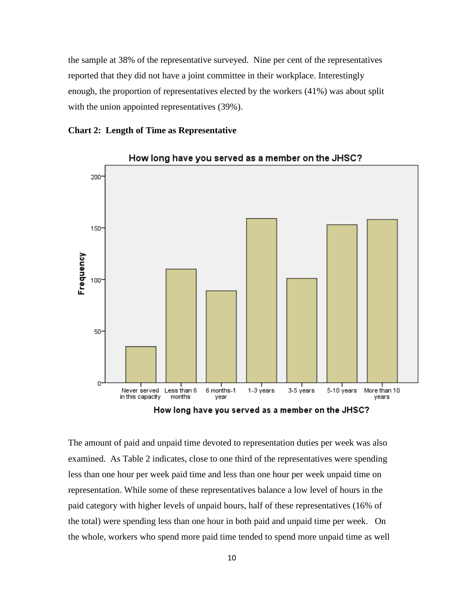the sample at 38% of the representative surveyed. Nine per cent of the representatives reported that they did not have a joint committee in their workplace. Interestingly enough, the proportion of representatives elected by the workers (41%) was about split with the union appointed representatives (39%).





How long have you served as a member on the JHSC?

How long have you served as a member on the JHSC?

The amount of paid and unpaid time devoted to representation duties per week was also examined. As Table 2 indicates, close to one third of the representatives were spending less than one hour per week paid time and less than one hour per week unpaid time on representation. While some of these representatives balance a low level of hours in the paid category with higher levels of unpaid hours, half of these representatives (16% of the total) were spending less than one hour in both paid and unpaid time per week. On the whole, workers who spend more paid time tended to spend more unpaid time as well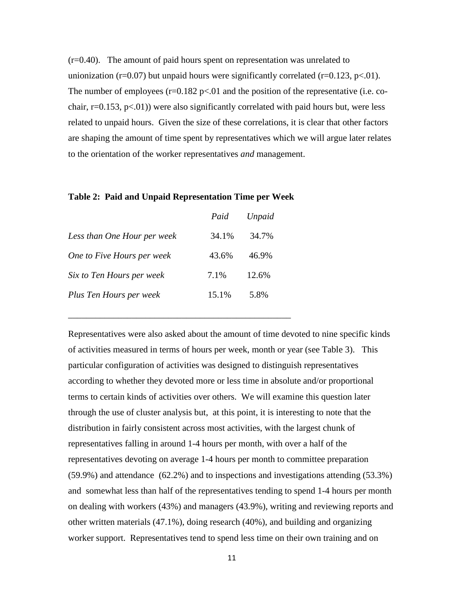(r=0.40). The amount of paid hours spent on representation was unrelated to unionization (r=0.07) but unpaid hours were significantly correlated (r=0.123, p<.01). The number of employees  $(r=0.182 \text{ p} < 0.01)$  and the position of the representative (i.e. cochair,  $r=0.153$ ,  $p<01$ ) were also significantly correlated with paid hours but, were less related to unpaid hours. Given the size of these correlations, it is clear that other factors are shaping the amount of time spent by representatives which we will argue later relates to the orientation of the worker representatives *and* management.

#### **Table 2: Paid and Unpaid Representation Time per Week**

|                             | Paid  | Unpaid |
|-----------------------------|-------|--------|
| Less than One Hour per week | 34.1% | 34.7%  |
| One to Five Hours per week  | 43.6% | 46.9%  |
| Six to Ten Hours per week   | 7.1%  | 12.6%  |
| Plus Ten Hours per week     | 15.1% | 5.8%   |

\_\_\_\_\_\_\_\_\_\_\_\_\_\_\_\_\_\_\_\_\_\_\_\_\_\_\_\_\_\_\_\_\_\_\_\_\_\_\_\_\_\_\_\_\_\_\_\_\_

Representatives were also asked about the amount of time devoted to nine specific kinds of activities measured in terms of hours per week, month or year (see Table 3). This particular configuration of activities was designed to distinguish representatives according to whether they devoted more or less time in absolute and/or proportional terms to certain kinds of activities over others. We will examine this question later through the use of cluster analysis but, at this point, it is interesting to note that the distribution in fairly consistent across most activities, with the largest chunk of representatives falling in around 1-4 hours per month, with over a half of the representatives devoting on average 1-4 hours per month to committee preparation (59.9%) and attendance (62.2%) and to inspections and investigations attending (53.3%) and somewhat less than half of the representatives tending to spend 1-4 hours per month on dealing with workers (43%) and managers (43.9%), writing and reviewing reports and other written materials (47.1%), doing research (40%), and building and organizing worker support. Representatives tend to spend less time on their own training and on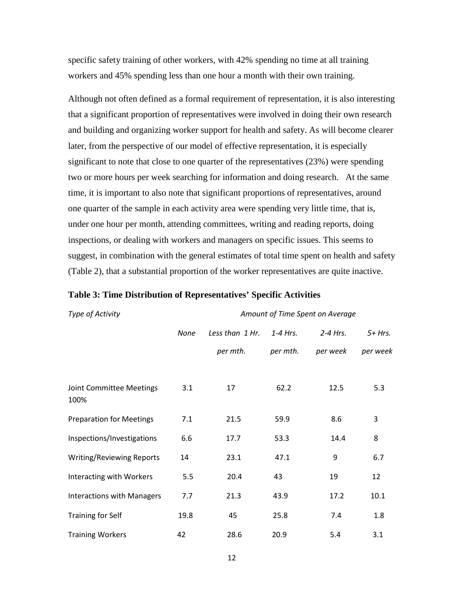specific safety training of other workers, with 42% spending no time at all training workers and 45% spending less than one hour a month with their own training.

Although not often defined as a formal requirement of representation, it is also interesting that a significant proportion of representatives were involved in doing their own research and building and organizing worker support for health and safety. As will become clearer later, from the perspective of our model of effective representation, it is especially significant to note that close to one quarter of the representatives (23%) were spending two or more hours per week searching for information and doing research. At the same time, it is important to also note that significant proportions of representatives, around one quarter of the sample in each activity area were spending very little time, that is, under one hour per month, attending committees, writing and reading reports, doing inspections, or dealing with workers and managers on specific issues. This seems to suggest, in combination with the general estimates of total time spent on health and safety (Table 2), that a substantial proportion of the worker representatives are quite inactive.

#### **Table 3: Time Distribution of Representatives' Specific Activities**

#### **Type of Activity** Amount of Time Spent on Average

|                                   | None | Less than 1 Hr. | $1 - 4$ Hrs. | $2-4$ Hrs. | $5+ Hrs.$ |
|-----------------------------------|------|-----------------|--------------|------------|-----------|
|                                   |      | per mth.        | per mth.     | per week   | per week  |
|                                   |      |                 |              |            |           |
| Joint Committee Meetings<br>100%  | 3.1  | 17              | 62.2         | 12.5       | 5.3       |
| <b>Preparation for Meetings</b>   | 7.1  | 21.5            | 59.9         | 8.6        | 3         |
| Inspections/Investigations        | 6.6  | 17.7            | 53.3         | 14.4       | 8         |
| <b>Writing/Reviewing Reports</b>  | 14   | 23.1            | 47.1         | 9          | 6.7       |
| Interacting with Workers          | 5.5  | 20.4            | 43           | 19         | 12        |
| <b>Interactions with Managers</b> | 7.7  | 21.3            | 43.9         | 17.2       | 10.1      |
| <b>Training for Self</b>          | 19.8 | 45              | 25.8         | 7.4        | 1.8       |
| <b>Training Workers</b>           | 42   | 28.6            | 20.9         | 5.4        | 3.1       |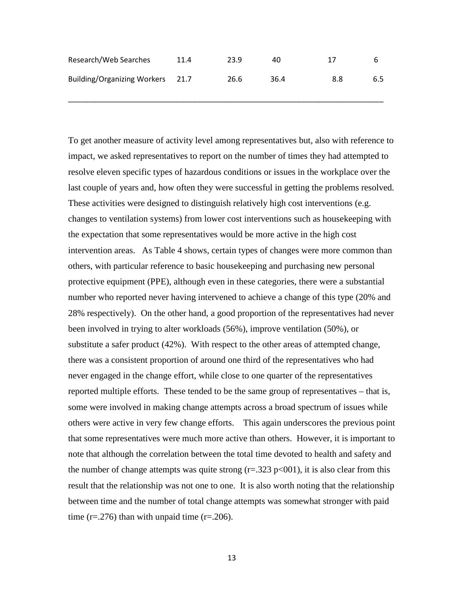| Research/Web Searches            | 11.4 | 23.9 | 40.  | 17  | h   |
|----------------------------------|------|------|------|-----|-----|
| Building/Organizing Workers 21.7 |      | 26.6 | 36.4 | 8.8 | 6.5 |

\_\_\_\_\_\_\_\_\_\_\_\_\_\_\_\_\_\_\_\_\_\_\_\_\_\_\_\_\_\_\_\_\_\_\_\_\_\_\_\_\_\_\_\_\_\_\_\_\_\_\_\_\_\_\_\_\_\_\_\_\_\_\_\_\_\_\_\_\_\_\_\_\_\_\_\_

To get another measure of activity level among representatives but, also with reference to impact, we asked representatives to report on the number of times they had attempted to resolve eleven specific types of hazardous conditions or issues in the workplace over the last couple of years and, how often they were successful in getting the problems resolved. These activities were designed to distinguish relatively high cost interventions (e.g. changes to ventilation systems) from lower cost interventions such as housekeeping with the expectation that some representatives would be more active in the high cost intervention areas. As Table 4 shows, certain types of changes were more common than others, with particular reference to basic housekeeping and purchasing new personal protective equipment (PPE), although even in these categories, there were a substantial number who reported never having intervened to achieve a change of this type (20% and 28% respectively). On the other hand, a good proportion of the representatives had never been involved in trying to alter workloads (56%), improve ventilation (50%), or substitute a safer product (42%). With respect to the other areas of attempted change, there was a consistent proportion of around one third of the representatives who had never engaged in the change effort, while close to one quarter of the representatives reported multiple efforts. These tended to be the same group of representatives – that is, some were involved in making change attempts across a broad spectrum of issues while others were active in very few change efforts. This again underscores the previous point that some representatives were much more active than others. However, it is important to note that although the correlation between the total time devoted to health and safety and the number of change attempts was quite strong  $(r=.323 \text{ p} < 001)$ , it is also clear from this result that the relationship was not one to one. It is also worth noting that the relationship between time and the number of total change attempts was somewhat stronger with paid time  $(r=.276)$  than with unpaid time  $(r=.206)$ .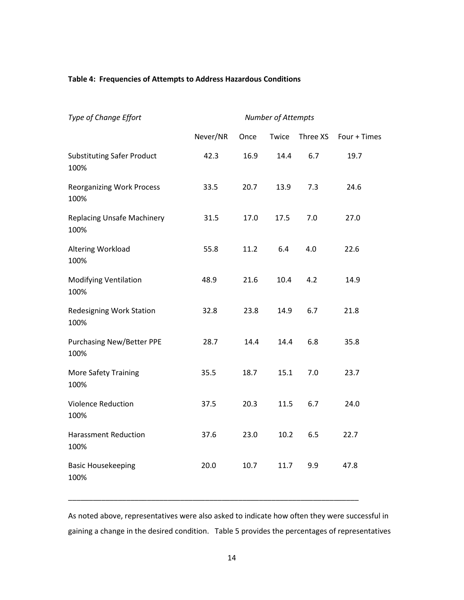#### **Table 4: Frequencies of Attempts to Address Hazardous Conditions**

| Type of Change Effort                     | Number of Attempts |      |       |          |              |
|-------------------------------------------|--------------------|------|-------|----------|--------------|
|                                           | Never/NR           | Once | Twice | Three XS | Four + Times |
| <b>Substituting Safer Product</b><br>100% | 42.3               | 16.9 | 14.4  | 6.7      | 19.7         |
| <b>Reorganizing Work Process</b><br>100%  | 33.5               | 20.7 | 13.9  | 7.3      | 24.6         |
| <b>Replacing Unsafe Machinery</b><br>100% | 31.5               | 17.0 | 17.5  | 7.0      | 27.0         |
| Altering Workload<br>100%                 | 55.8               | 11.2 | 6.4   | 4.0      | 22.6         |
| <b>Modifying Ventilation</b><br>100%      | 48.9               | 21.6 | 10.4  | 4.2      | 14.9         |
| <b>Redesigning Work Station</b><br>100%   | 32.8               | 23.8 | 14.9  | 6.7      | 21.8         |
| <b>Purchasing New/Better PPE</b><br>100%  | 28.7               | 14.4 | 14.4  | 6.8      | 35.8         |
| <b>More Safety Training</b><br>100%       | 35.5               | 18.7 | 15.1  | 7.0      | 23.7         |
| <b>Violence Reduction</b><br>100%         | 37.5               | 20.3 | 11.5  | 6.7      | 24.0         |
| <b>Harassment Reduction</b><br>100%       | 37.6               | 23.0 | 10.2  | 6.5      | 22.7         |
| <b>Basic Housekeeping</b><br>100%         | 20.0               | 10.7 | 11.7  | 9.9      | 47.8         |

As noted above, representatives were also asked to indicate how often they were successful in gaining a change in the desired condition. Table 5 provides the percentages of representatives

\_\_\_\_\_\_\_\_\_\_\_\_\_\_\_\_\_\_\_\_\_\_\_\_\_\_\_\_\_\_\_\_\_\_\_\_\_\_\_\_\_\_\_\_\_\_\_\_\_\_\_\_\_\_\_\_\_\_\_\_\_\_\_\_\_\_\_\_\_\_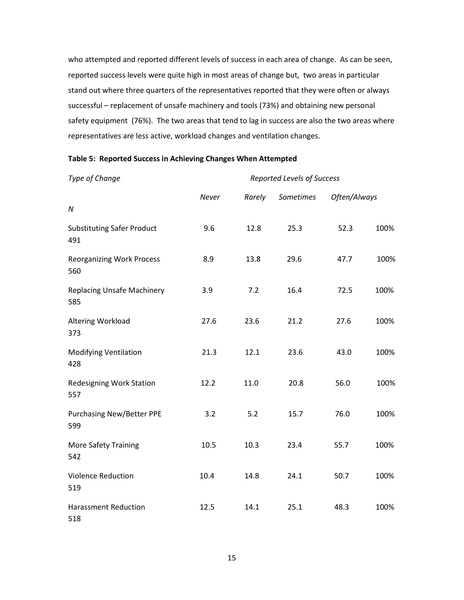who attempted and reported different levels of success in each area of change. As can be seen, reported success levels were quite high in most areas of change but, two areas in particular stand out where three quarters of the representatives reported that they were often or always successful – replacement of unsafe machinery and tools (73%) and obtaining new personal safety equipment (76%). The two areas that tend to lag in success are also the two areas where representatives are less active, workload changes and ventilation changes.

| Type of Change                           | Reported Levels of Success |        |           |              |      |
|------------------------------------------|----------------------------|--------|-----------|--------------|------|
|                                          | Never                      | Rarely | Sometimes | Often/Always |      |
| ${\cal N}$                               |                            |        |           |              |      |
| <b>Substituting Safer Product</b><br>491 | 9.6                        | 12.8   | 25.3      | 52.3         | 100% |
| <b>Reorganizing Work Process</b><br>560  | 8.9                        | 13.8   | 29.6      | 47.7         | 100% |
| <b>Replacing Unsafe Machinery</b><br>585 | 3.9                        | 7.2    | 16.4      | 72.5         | 100% |
| Altering Workload<br>373                 | 27.6                       | 23.6   | 21.2      | 27.6         | 100% |
| <b>Modifying Ventilation</b><br>428      | 21.3                       | 12.1   | 23.6      | 43.0         | 100% |
| Redesigning Work Station<br>557          | 12.2                       | 11.0   | 20.8      | 56.0         | 100% |
| <b>Purchasing New/Better PPE</b><br>599  | 3.2                        | 5.2    | 15.7      | 76.0         | 100% |
| <b>More Safety Training</b><br>542       | 10.5                       | 10.3   | 23.4      | 55.7         | 100% |
| <b>Violence Reduction</b><br>519         | 10.4                       | 14.8   | 24.1      | 50.7         | 100% |
| <b>Harassment Reduction</b><br>518       | 12.5                       | 14.1   | 25.1      | 48.3         | 100% |

#### **Table 5: Reported Success in Achieving Changes When Attempted**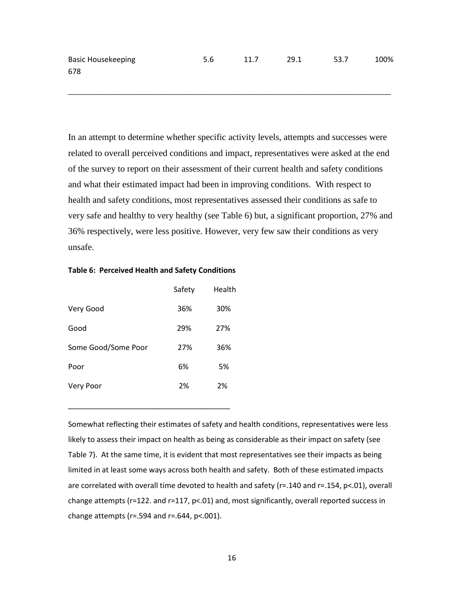Basic Housekeeping  $5.6$  11.7 29.1 53.7 100% 678

\_\_\_\_\_\_\_\_\_\_\_\_\_\_\_\_\_\_\_\_\_\_\_\_\_\_\_\_\_\_\_\_\_\_\_\_\_\_\_\_\_\_\_\_\_\_\_\_\_\_\_\_\_\_\_\_\_\_\_\_\_\_\_\_\_\_\_\_\_\_\_

In an attempt to determine whether specific activity levels, attempts and successes were related to overall perceived conditions and impact, representatives were asked at the end of the survey to report on their assessment of their current health and safety conditions and what their estimated impact had been in improving conditions. With respect to health and safety conditions, most representatives assessed their conditions as safe to very safe and healthy to very healthy (see Table 6) but, a significant proportion, 27% and 36% respectively, were less positive. However, very few saw their conditions as very unsafe.

#### **Table 6: Perceived Health and Safety Conditions**

|                     | Safety | Health |
|---------------------|--------|--------|
| Very Good           | 36%    | 30%    |
| Good                | 29%    | 27%    |
| Some Good/Some Poor | 27%    | 36%    |
| Poor                | 6%     | 5%     |
| Very Poor           | 2%     | 2%     |

\_\_\_\_\_\_\_\_\_\_\_\_\_\_\_\_\_\_\_\_\_\_\_\_\_\_\_\_\_\_\_\_\_\_\_\_\_\_\_

Somewhat reflecting their estimates of safety and health conditions, representatives were less likely to assess their impact on health as being as considerable as their impact on safety (see Table 7). At the same time, it is evident that most representatives see their impacts as being limited in at least some ways across both health and safety. Both of these estimated impacts are correlated with overall time devoted to health and safety (r=.140 and r=.154, p<.01), overall change attempts (r=122. and r=117, p<.01) and, most significantly, overall reported success in change attempts ( $r = 0.594$  and  $r = 0.644$ ,  $p < 0.001$ ).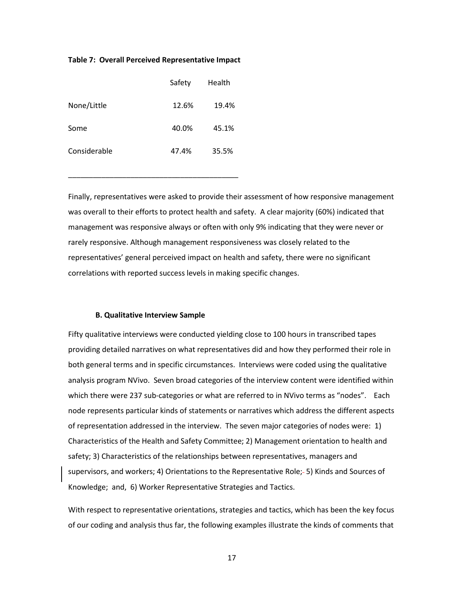#### **Table 7: Overall Perceived Representative Impact**

|              | Safety | Health |
|--------------|--------|--------|
| None/Little  | 12.6%  | 19.4%  |
| Some         | 40.0%  | 45.1%  |
| Considerable | 47.4%  | 35.5%  |

\_\_\_\_\_\_\_\_\_\_\_\_\_\_\_\_\_\_\_\_\_\_\_\_\_\_\_\_\_\_\_\_\_\_\_\_\_\_\_\_\_

Finally, representatives were asked to provide their assessment of how responsive management was overall to their efforts to protect health and safety. A clear majority (60%) indicated that management was responsive always or often with only 9% indicating that they were never or rarely responsive. Although management responsiveness was closely related to the representatives' general perceived impact on health and safety, there were no significant correlations with reported success levels in making specific changes.

#### **B. Qualitative Interview Sample**

Fifty qualitative interviews were conducted yielding close to 100 hours in transcribed tapes providing detailed narratives on what representatives did and how they performed their role in both general terms and in specific circumstances. Interviews were coded using the qualitative analysis program NVivo. Seven broad categories of the interview content were identified within which there were 237 sub-categories or what are referred to in NVivo terms as "nodes". Each node represents particular kinds of statements or narratives which address the different aspects of representation addressed in the interview. The seven major categories of nodes were: 1) Characteristics of the Health and Safety Committee; 2) Management orientation to health and safety; 3) Characteristics of the relationships between representatives, managers and supervisors, and workers; 4) Orientations to the Representative Role; 5) Kinds and Sources of Knowledge; and, 6) Worker Representative Strategies and Tactics.

With respect to representative orientations, strategies and tactics, which has been the key focus of our coding and analysis thus far, the following examples illustrate the kinds of comments that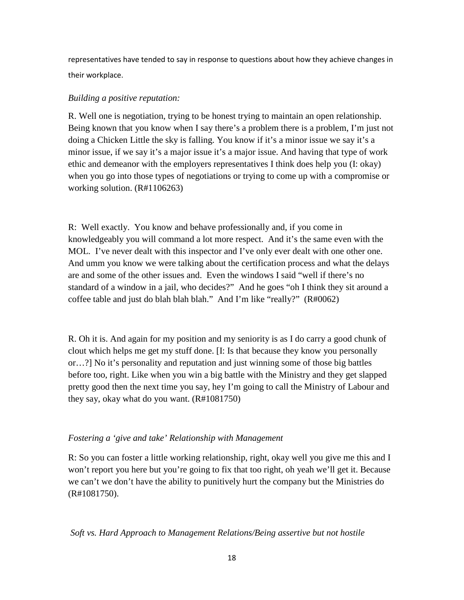representatives have tended to say in response to questions about how they achieve changes in their workplace.

# *Building a positive reputation:*

R. Well one is negotiation, trying to be honest trying to maintain an open relationship. Being known that you know when I say there's a problem there is a problem, I'm just not doing a Chicken Little the sky is falling. You know if it's a minor issue we say it's a minor issue, if we say it's a major issue it's a major issue. And having that type of work ethic and demeanor with the employers representatives I think does help you (I: okay) when you go into those types of negotiations or trying to come up with a compromise or working solution. (R#1106263)

R: Well exactly. You know and behave professionally and, if you come in knowledgeably you will command a lot more respect. And it's the same even with the MOL. I've never dealt with this inspector and I've only ever dealt with one other one. And umm you know we were talking about the certification process and what the delays are and some of the other issues and. Even the windows I said "well if there's no standard of a window in a jail, who decides?" And he goes "oh I think they sit around a coffee table and just do blah blah blah." And I'm like "really?" (R#0062)

R. Oh it is. And again for my position and my seniority is as I do carry a good chunk of clout which helps me get my stuff done. [I: Is that because they know you personally or…?] No it's personality and reputation and just winning some of those big battles before too, right. Like when you win a big battle with the Ministry and they get slapped pretty good then the next time you say, hey I'm going to call the Ministry of Labour and they say, okay what do you want. (R#1081750)

# *Fostering a 'give and take' Relationship with Management*

R: So you can foster a little working relationship, right, okay well you give me this and I won't report you here but you're going to fix that too right, oh yeah we'll get it. Because we can't we don't have the ability to punitively hurt the company but the Ministries do (R#1081750).

# *Soft vs. Hard Approach to Management Relations/Being assertive but not hostile*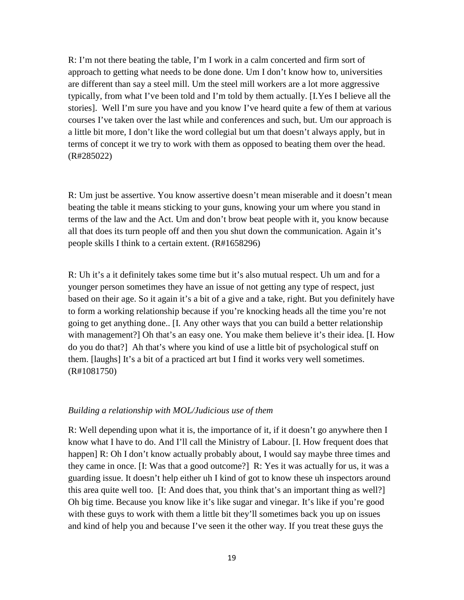R: I'm not there beating the table, I'm I work in a calm concerted and firm sort of approach to getting what needs to be done done. Um I don't know how to, universities are different than say a steel mill. Um the steel mill workers are a lot more aggressive typically, from what I've been told and I'm told by them actually. [I.Yes I believe all the stories]. Well I'm sure you have and you know I've heard quite a few of them at various courses I've taken over the last while and conferences and such, but. Um our approach is a little bit more, I don't like the word collegial but um that doesn't always apply, but in terms of concept it we try to work with them as opposed to beating them over the head. (R#285022)

R: Um just be assertive. You know assertive doesn't mean miserable and it doesn't mean beating the table it means sticking to your guns, knowing your um where you stand in terms of the law and the Act. Um and don't brow beat people with it, you know because all that does its turn people off and then you shut down the communication. Again it's people skills I think to a certain extent. (R#1658296)

R: Uh it's a it definitely takes some time but it's also mutual respect. Uh um and for a younger person sometimes they have an issue of not getting any type of respect, just based on their age. So it again it's a bit of a give and a take, right. But you definitely have to form a working relationship because if you're knocking heads all the time you're not going to get anything done.. [I. Any other ways that you can build a better relationship with management?] Oh that's an easy one. You make them believe it's their idea. [I. How do you do that?] Ah that's where you kind of use a little bit of psychological stuff on them. [laughs] It's a bit of a practiced art but I find it works very well sometimes. (R#1081750)

#### *Building a relationship with MOL/Judicious use of them*

R: Well depending upon what it is, the importance of it, if it doesn't go anywhere then I know what I have to do. And I'll call the Ministry of Labour. [I. How frequent does that happen] R: Oh I don't know actually probably about, I would say maybe three times and they came in once. [I: Was that a good outcome?] R: Yes it was actually for us, it was a guarding issue. It doesn't help either uh I kind of got to know these uh inspectors around this area quite well too. [I: And does that, you think that's an important thing as well?] Oh big time. Because you know like it's like sugar and vinegar. It's like if you're good with these guys to work with them a little bit they'll sometimes back you up on issues and kind of help you and because I've seen it the other way. If you treat these guys the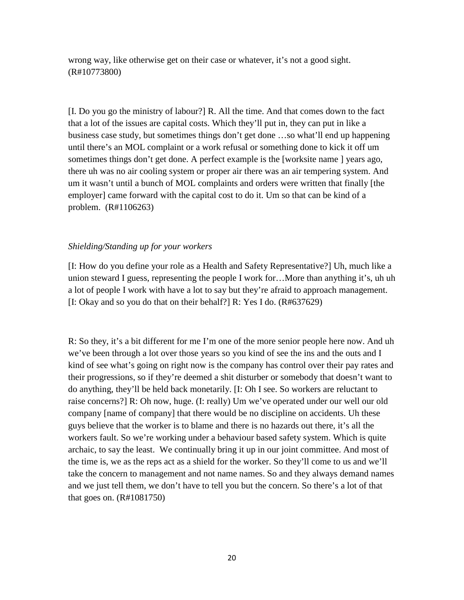wrong way, like otherwise get on their case or whatever, it's not a good sight. (R#10773800)

[I. Do you go the ministry of labour?] R. All the time. And that comes down to the fact that a lot of the issues are capital costs. Which they'll put in, they can put in like a business case study, but sometimes things don't get done …so what'll end up happening until there's an MOL complaint or a work refusal or something done to kick it off um sometimes things don't get done. A perfect example is the [worksite name ] years ago, there uh was no air cooling system or proper air there was an air tempering system. And um it wasn't until a bunch of MOL complaints and orders were written that finally [the employer] came forward with the capital cost to do it. Um so that can be kind of a problem. (R#1106263)

# *Shielding/Standing up for your workers*

[I: How do you define your role as a Health and Safety Representative?] Uh, much like a union steward I guess, representing the people I work for…More than anything it's, uh uh a lot of people I work with have a lot to say but they're afraid to approach management. [I: Okay and so you do that on their behalf?] R: Yes I do. (R#637629)

R: So they, it's a bit different for me I'm one of the more senior people here now. And uh we've been through a lot over those years so you kind of see the ins and the outs and I kind of see what's going on right now is the company has control over their pay rates and their progressions, so if they're deemed a shit disturber or somebody that doesn't want to do anything, they'll be held back monetarily. [I: Oh I see. So workers are reluctant to raise concerns?] R: Oh now, huge. (I: really) Um we've operated under our well our old company [name of company] that there would be no discipline on accidents. Uh these guys believe that the worker is to blame and there is no hazards out there, it's all the workers fault. So we're working under a behaviour based safety system. Which is quite archaic, to say the least. We continually bring it up in our joint committee. And most of the time is, we as the reps act as a shield for the worker. So they'll come to us and we'll take the concern to management and not name names. So and they always demand names and we just tell them, we don't have to tell you but the concern. So there's a lot of that that goes on. (R#1081750)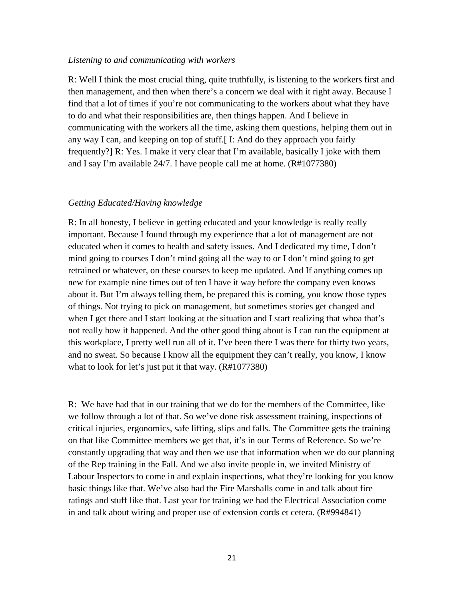#### *Listening to and communicating with workers*

R: Well I think the most crucial thing, quite truthfully, is listening to the workers first and then management, and then when there's a concern we deal with it right away. Because I find that a lot of times if you're not communicating to the workers about what they have to do and what their responsibilities are, then things happen. And I believe in communicating with the workers all the time, asking them questions, helping them out in any way I can, and keeping on top of stuff.[ I: And do they approach you fairly frequently?] R: Yes. I make it very clear that I'm available, basically I joke with them and I say I'm available 24/7. I have people call me at home. (R#1077380)

#### *Getting Educated/Having knowledge*

R: In all honesty, I believe in getting educated and your knowledge is really really important. Because I found through my experience that a lot of management are not educated when it comes to health and safety issues. And I dedicated my time, I don't mind going to courses I don't mind going all the way to or I don't mind going to get retrained or whatever, on these courses to keep me updated. And If anything comes up new for example nine times out of ten I have it way before the company even knows about it. But I'm always telling them, be prepared this is coming, you know those types of things. Not trying to pick on management, but sometimes stories get changed and when I get there and I start looking at the situation and I start realizing that whoa that's not really how it happened. And the other good thing about is I can run the equipment at this workplace, I pretty well run all of it. I've been there I was there for thirty two years, and no sweat. So because I know all the equipment they can't really, you know, I know what to look for let's just put it that way. (R#1077380)

R: We have had that in our training that we do for the members of the Committee, like we follow through a lot of that. So we've done risk assessment training, inspections of critical injuries, ergonomics, safe lifting, slips and falls. The Committee gets the training on that like Committee members we get that, it's in our Terms of Reference. So we're constantly upgrading that way and then we use that information when we do our planning of the Rep training in the Fall. And we also invite people in, we invited Ministry of Labour Inspectors to come in and explain inspections, what they're looking for you know basic things like that. We've also had the Fire Marshalls come in and talk about fire ratings and stuff like that. Last year for training we had the Electrical Association come in and talk about wiring and proper use of extension cords et cetera. (R#994841)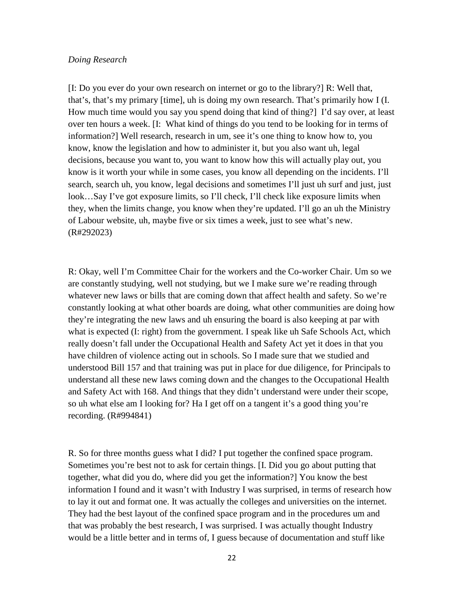#### *Doing Research*

[I: Do you ever do your own research on internet or go to the library?] R: Well that, that's, that's my primary [time], uh is doing my own research. That's primarily how I (I. How much time would you say you spend doing that kind of thing?] I'd say over, at least over ten hours a week. [I: What kind of things do you tend to be looking for in terms of information?] Well research, research in um, see it's one thing to know how to, you know, know the legislation and how to administer it, but you also want uh, legal decisions, because you want to, you want to know how this will actually play out, you know is it worth your while in some cases, you know all depending on the incidents. I'll search, search uh, you know, legal decisions and sometimes I'll just uh surf and just, just look...Say I've got exposure limits, so I'll check, I'll check like exposure limits when they, when the limits change, you know when they're updated. I'll go an uh the Ministry of Labour website, uh, maybe five or six times a week, just to see what's new. (R#292023)

R: Okay, well I'm Committee Chair for the workers and the Co-worker Chair. Um so we are constantly studying, well not studying, but we I make sure we're reading through whatever new laws or bills that are coming down that affect health and safety. So we're constantly looking at what other boards are doing, what other communities are doing how they're integrating the new laws and uh ensuring the board is also keeping at par with what is expected (I: right) from the government. I speak like uh Safe Schools Act, which really doesn't fall under the Occupational Health and Safety Act yet it does in that you have children of violence acting out in schools. So I made sure that we studied and understood Bill 157 and that training was put in place for due diligence, for Principals to understand all these new laws coming down and the changes to the Occupational Health and Safety Act with 168. And things that they didn't understand were under their scope, so uh what else am I looking for? Ha I get off on a tangent it's a good thing you're recording. (R#994841)

R. So for three months guess what I did? I put together the confined space program. Sometimes you're best not to ask for certain things. [I. Did you go about putting that together, what did you do, where did you get the information?] You know the best information I found and it wasn't with Industry I was surprised, in terms of research how to lay it out and format one. It was actually the colleges and universities on the internet. They had the best layout of the confined space program and in the procedures um and that was probably the best research, I was surprised. I was actually thought Industry would be a little better and in terms of, I guess because of documentation and stuff like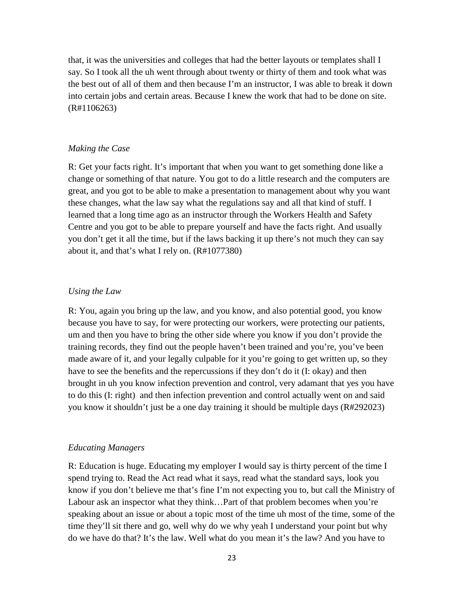that, it was the universities and colleges that had the better layouts or templates shall I say. So I took all the uh went through about twenty or thirty of them and took what was the best out of all of them and then because I'm an instructor, I was able to break it down into certain jobs and certain areas. Because I knew the work that had to be done on site. (R#1106263)

#### *Making the Case*

R: Get your facts right. It's important that when you want to get something done like a change or something of that nature. You got to do a little research and the computers are great, and you got to be able to make a presentation to management about why you want these changes, what the law say what the regulations say and all that kind of stuff. I learned that a long time ago as an instructor through the Workers Health and Safety Centre and you got to be able to prepare yourself and have the facts right. And usually you don't get it all the time, but if the laws backing it up there's not much they can say about it, and that's what I rely on. (R#1077380)

# *Using the Law*

R: You, again you bring up the law, and you know, and also potential good, you know because you have to say, for were protecting our workers, were protecting our patients, um and then you have to bring the other side where you know if you don't provide the training records, they find out the people haven't been trained and you're, you've been made aware of it, and your legally culpable for it you're going to get written up, so they have to see the benefits and the repercussions if they don't do it (I: okay) and then brought in uh you know infection prevention and control, very adamant that yes you have to do this (I: right) and then infection prevention and control actually went on and said you know it shouldn't just be a one day training it should be multiple days (R#292023)

#### *Educating Managers*

R: Education is huge. Educating my employer I would say is thirty percent of the time I spend trying to. Read the Act read what it says, read what the standard says, look you know if you don't believe me that's fine I'm not expecting you to, but call the Ministry of Labour ask an inspector what they think…Part of that problem becomes when you're speaking about an issue or about a topic most of the time uh most of the time, some of the time they'll sit there and go, well why do we why yeah I understand your point but why do we have do that? It's the law. Well what do you mean it's the law? And you have to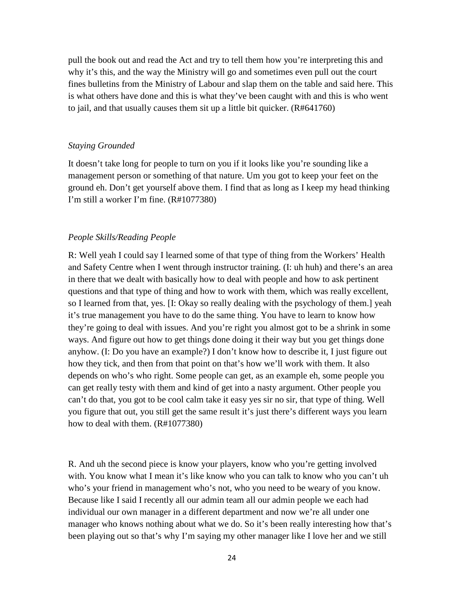pull the book out and read the Act and try to tell them how you're interpreting this and why it's this, and the way the Ministry will go and sometimes even pull out the court fines bulletins from the Ministry of Labour and slap them on the table and said here. This is what others have done and this is what they've been caught with and this is who went to jail, and that usually causes them sit up a little bit quicker. (R#641760)

#### *Staying Grounded*

It doesn't take long for people to turn on you if it looks like you're sounding like a management person or something of that nature. Um you got to keep your feet on the ground eh. Don't get yourself above them. I find that as long as I keep my head thinking I'm still a worker I'm fine. (R#1077380)

#### *People Skills/Reading People*

R: Well yeah I could say I learned some of that type of thing from the Workers' Health and Safety Centre when I went through instructor training. (I: uh huh) and there's an area in there that we dealt with basically how to deal with people and how to ask pertinent questions and that type of thing and how to work with them, which was really excellent, so I learned from that, yes. [I: Okay so really dealing with the psychology of them.] yeah it's true management you have to do the same thing. You have to learn to know how they're going to deal with issues. And you're right you almost got to be a shrink in some ways. And figure out how to get things done doing it their way but you get things done anyhow. (I: Do you have an example?) I don't know how to describe it, I just figure out how they tick, and then from that point on that's how we'll work with them. It also depends on who's who right. Some people can get, as an example eh, some people you can get really testy with them and kind of get into a nasty argument. Other people you can't do that, you got to be cool calm take it easy yes sir no sir, that type of thing. Well you figure that out, you still get the same result it's just there's different ways you learn how to deal with them. (R#1077380)

R. And uh the second piece is know your players, know who you're getting involved with. You know what I mean it's like know who you can talk to know who you can't uh who's your friend in management who's not, who you need to be weary of you know. Because like I said I recently all our admin team all our admin people we each had individual our own manager in a different department and now we're all under one manager who knows nothing about what we do. So it's been really interesting how that's been playing out so that's why I'm saying my other manager like I love her and we still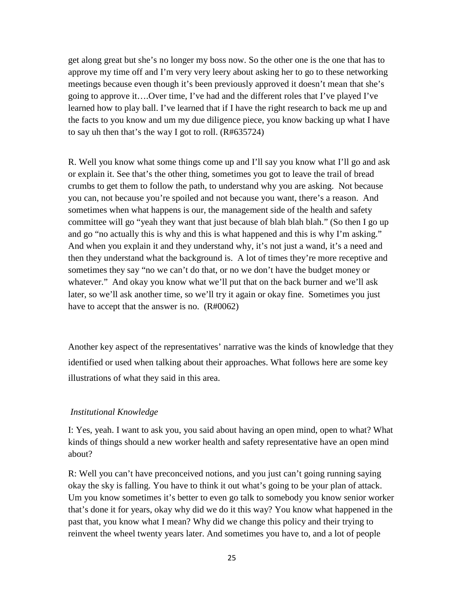get along great but she's no longer my boss now. So the other one is the one that has to approve my time off and I'm very very leery about asking her to go to these networking meetings because even though it's been previously approved it doesn't mean that she's going to approve it….Over time, I've had and the different roles that I've played I've learned how to play ball. I've learned that if I have the right research to back me up and the facts to you know and um my due diligence piece, you know backing up what I have to say uh then that's the way I got to roll. (R#635724)

R. Well you know what some things come up and I'll say you know what I'll go and ask or explain it. See that's the other thing, sometimes you got to leave the trail of bread crumbs to get them to follow the path, to understand why you are asking. Not because you can, not because you're spoiled and not because you want, there's a reason. And sometimes when what happens is our, the management side of the health and safety committee will go "yeah they want that just because of blah blah blah." (So then I go up and go "no actually this is why and this is what happened and this is why I'm asking." And when you explain it and they understand why, it's not just a wand, it's a need and then they understand what the background is. A lot of times they're more receptive and sometimes they say "no we can't do that, or no we don't have the budget money or whatever." And okay you know what we'll put that on the back burner and we'll ask later, so we'll ask another time, so we'll try it again or okay fine. Sometimes you just have to accept that the answer is no. (R#0062)

Another key aspect of the representatives' narrative was the kinds of knowledge that they identified or used when talking about their approaches. What follows here are some key illustrations of what they said in this area.

#### *Institutional Knowledge*

I: Yes, yeah. I want to ask you, you said about having an open mind, open to what? What kinds of things should a new worker health and safety representative have an open mind about?

R: Well you can't have preconceived notions, and you just can't going running saying okay the sky is falling. You have to think it out what's going to be your plan of attack. Um you know sometimes it's better to even go talk to somebody you know senior worker that's done it for years, okay why did we do it this way? You know what happened in the past that, you know what I mean? Why did we change this policy and their trying to reinvent the wheel twenty years later. And sometimes you have to, and a lot of people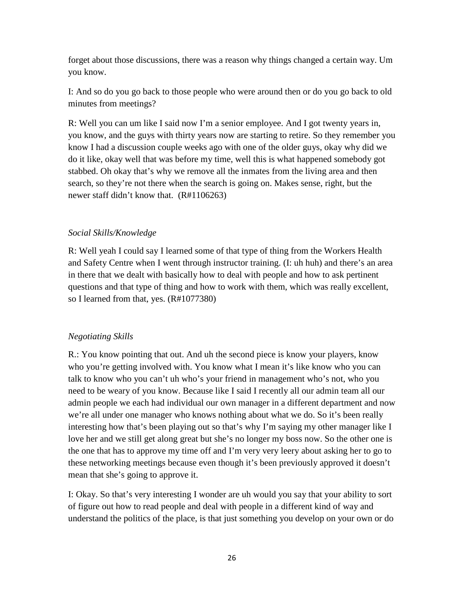forget about those discussions, there was a reason why things changed a certain way. Um you know.

I: And so do you go back to those people who were around then or do you go back to old minutes from meetings?

R: Well you can um like I said now I'm a senior employee. And I got twenty years in, you know, and the guys with thirty years now are starting to retire. So they remember you know I had a discussion couple weeks ago with one of the older guys, okay why did we do it like, okay well that was before my time, well this is what happened somebody got stabbed. Oh okay that's why we remove all the inmates from the living area and then search, so they're not there when the search is going on. Makes sense, right, but the newer staff didn't know that. (R#1106263)

# *Social Skills/Knowledge*

R: Well yeah I could say I learned some of that type of thing from the Workers Health and Safety Centre when I went through instructor training. (I: uh huh) and there's an area in there that we dealt with basically how to deal with people and how to ask pertinent questions and that type of thing and how to work with them, which was really excellent, so I learned from that, yes. (R#1077380)

# *Negotiating Skills*

R.: You know pointing that out. And uh the second piece is know your players, know who you're getting involved with. You know what I mean it's like know who you can talk to know who you can't uh who's your friend in management who's not, who you need to be weary of you know. Because like I said I recently all our admin team all our admin people we each had individual our own manager in a different department and now we're all under one manager who knows nothing about what we do. So it's been really interesting how that's been playing out so that's why I'm saying my other manager like I love her and we still get along great but she's no longer my boss now. So the other one is the one that has to approve my time off and I'm very very leery about asking her to go to these networking meetings because even though it's been previously approved it doesn't mean that she's going to approve it.

I: Okay. So that's very interesting I wonder are uh would you say that your ability to sort of figure out how to read people and deal with people in a different kind of way and understand the politics of the place, is that just something you develop on your own or do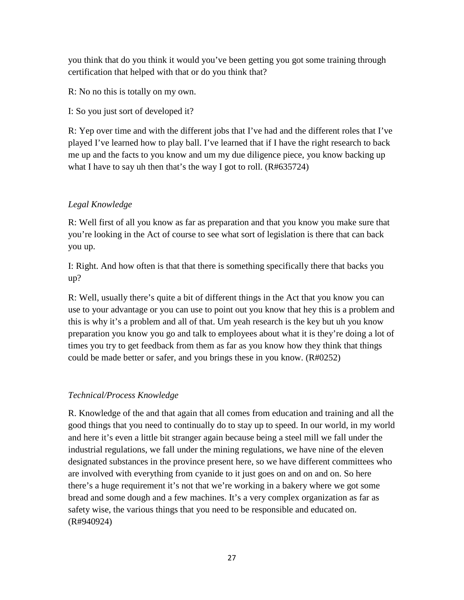you think that do you think it would you've been getting you got some training through certification that helped with that or do you think that?

R: No no this is totally on my own.

I: So you just sort of developed it?

R: Yep over time and with the different jobs that I've had and the different roles that I've played I've learned how to play ball. I've learned that if I have the right research to back me up and the facts to you know and um my due diligence piece, you know backing up what I have to say uh then that's the way I got to roll. (R#635724)

# *Legal Knowledge*

R: Well first of all you know as far as preparation and that you know you make sure that you're looking in the Act of course to see what sort of legislation is there that can back you up.

I: Right. And how often is that that there is something specifically there that backs you up?

R: Well, usually there's quite a bit of different things in the Act that you know you can use to your advantage or you can use to point out you know that hey this is a problem and this is why it's a problem and all of that. Um yeah research is the key but uh you know preparation you know you go and talk to employees about what it is they're doing a lot of times you try to get feedback from them as far as you know how they think that things could be made better or safer, and you brings these in you know. (R#0252)

# *Technical/Process Knowledge*

R. Knowledge of the and that again that all comes from education and training and all the good things that you need to continually do to stay up to speed. In our world, in my world and here it's even a little bit stranger again because being a steel mill we fall under the industrial regulations, we fall under the mining regulations, we have nine of the eleven designated substances in the province present here, so we have different committees who are involved with everything from cyanide to it just goes on and on and on. So here there's a huge requirement it's not that we're working in a bakery where we got some bread and some dough and a few machines. It's a very complex organization as far as safety wise, the various things that you need to be responsible and educated on. (R#940924)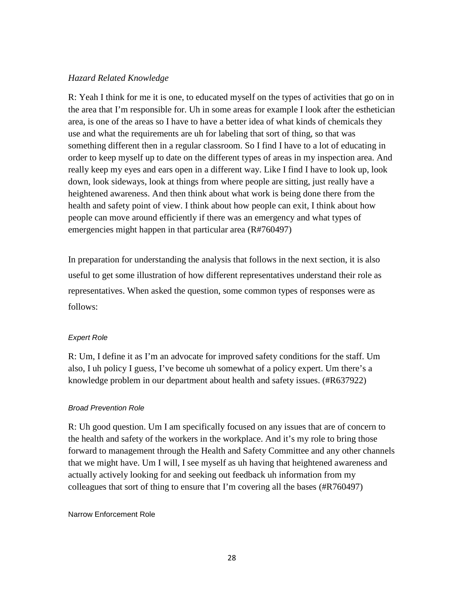# *Hazard Related Knowledge*

R: Yeah I think for me it is one, to educated myself on the types of activities that go on in the area that I'm responsible for. Uh in some areas for example I look after the esthetician area, is one of the areas so I have to have a better idea of what kinds of chemicals they use and what the requirements are uh for labeling that sort of thing, so that was something different then in a regular classroom. So I find I have to a lot of educating in order to keep myself up to date on the different types of areas in my inspection area. And really keep my eyes and ears open in a different way. Like I find I have to look up, look down, look sideways, look at things from where people are sitting, just really have a heightened awareness. And then think about what work is being done there from the health and safety point of view. I think about how people can exit, I think about how people can move around efficiently if there was an emergency and what types of emergencies might happen in that particular area (R#760497)

In preparation for understanding the analysis that follows in the next section, it is also useful to get some illustration of how different representatives understand their role as representatives. When asked the question, some common types of responses were as follows:

# *Expert Role*

R: Um, I define it as I'm an advocate for improved safety conditions for the staff. Um also, I uh policy I guess, I've become uh somewhat of a policy expert. Um there's a knowledge problem in our department about health and safety issues. (#R637922)

#### *Broad Prevention Role*

R: Uh good question. Um I am specifically focused on any issues that are of concern to the health and safety of the workers in the workplace. And it's my role to bring those forward to management through the Health and Safety Committee and any other channels that we might have. Um I will, I see myself as uh having that heightened awareness and actually actively looking for and seeking out feedback uh information from my colleagues that sort of thing to ensure that I'm covering all the bases (#R760497)

#### Narrow Enforcement Role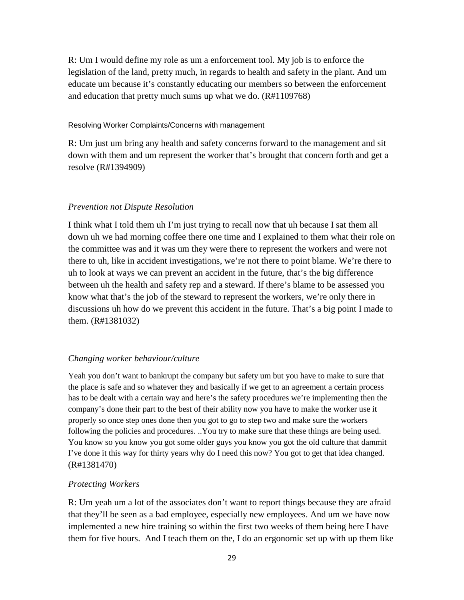R: Um I would define my role as um a enforcement tool. My job is to enforce the legislation of the land, pretty much, in regards to health and safety in the plant. And um educate um because it's constantly educating our members so between the enforcement and education that pretty much sums up what we do. (R#1109768)

#### Resolving Worker Complaints/Concerns with management

R: Um just um bring any health and safety concerns forward to the management and sit down with them and um represent the worker that's brought that concern forth and get a resolve (R#1394909)

# *Prevention not Dispute Resolution*

I think what I told them uh I'm just trying to recall now that uh because I sat them all down uh we had morning coffee there one time and I explained to them what their role on the committee was and it was um they were there to represent the workers and were not there to uh, like in accident investigations, we're not there to point blame. We're there to uh to look at ways we can prevent an accident in the future, that's the big difference between uh the health and safety rep and a steward. If there's blame to be assessed you know what that's the job of the steward to represent the workers, we're only there in discussions uh how do we prevent this accident in the future. That's a big point I made to them. (R#1381032)

# *Changing worker behaviour/culture*

Yeah you don't want to bankrupt the company but safety um but you have to make to sure that the place is safe and so whatever they and basically if we get to an agreement a certain process has to be dealt with a certain way and here's the safety procedures we're implementing then the company's done their part to the best of their ability now you have to make the worker use it properly so once step ones done then you got to go to step two and make sure the workers following the policies and procedures. ..You try to make sure that these things are being used. You know so you know you got some older guys you know you got the old culture that dammit I've done it this way for thirty years why do I need this now? You got to get that idea changed. (R#1381470)

# *Protecting Workers*

R: Um yeah um a lot of the associates don't want to report things because they are afraid that they'll be seen as a bad employee, especially new employees. And um we have now implemented a new hire training so within the first two weeks of them being here I have them for five hours. And I teach them on the, I do an ergonomic set up with up them like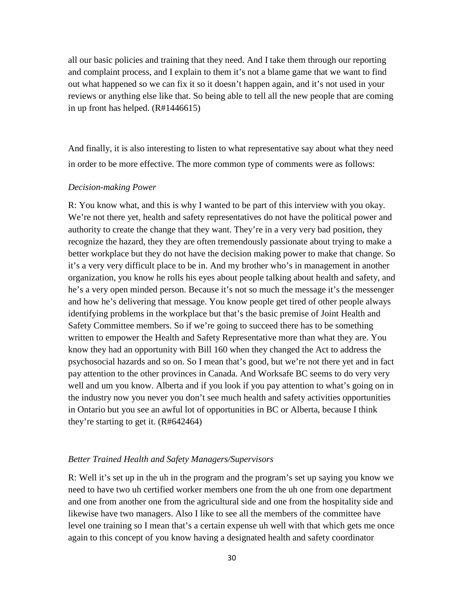all our basic policies and training that they need. And I take them through our reporting and complaint process, and I explain to them it's not a blame game that we want to find out what happened so we can fix it so it doesn't happen again, and it's not used in your reviews or anything else like that. So being able to tell all the new people that are coming in up front has helped. (R#1446615)

And finally, it is also interesting to listen to what representative say about what they need in order to be more effective. The more common type of comments were as follows:

#### *Decision-making Power*

R: You know what, and this is why I wanted to be part of this interview with you okay. We're not there yet, health and safety representatives do not have the political power and authority to create the change that they want. They're in a very very bad position, they recognize the hazard, they they are often tremendously passionate about trying to make a better workplace but they do not have the decision making power to make that change. So it's a very very difficult place to be in. And my brother who's in management in another organization, you know he rolls his eyes about people talking about health and safety, and he's a very open minded person. Because it's not so much the message it's the messenger and how he's delivering that message. You know people get tired of other people always identifying problems in the workplace but that's the basic premise of Joint Health and Safety Committee members. So if we're going to succeed there has to be something written to empower the Health and Safety Representative more than what they are. You know they had an opportunity with Bill 160 when they changed the Act to address the psychosocial hazards and so on. So I mean that's good, but we're not there yet and in fact pay attention to the other provinces in Canada. And Worksafe BC seems to do very very well and um you know. Alberta and if you look if you pay attention to what's going on in the industry now you never you don't see much health and safety activities opportunities in Ontario but you see an awful lot of opportunities in BC or Alberta, because I think they're starting to get it. (R#642464)

#### *Better Trained Health and Safety Managers/Supervisors*

R: Well it's set up in the uh in the program and the program's set up saying you know we need to have two uh certified worker members one from the uh one from one department and one from another one from the agricultural side and one from the hospitality side and likewise have two managers. Also I like to see all the members of the committee have level one training so I mean that's a certain expense uh well with that which gets me once again to this concept of you know having a designated health and safety coordinator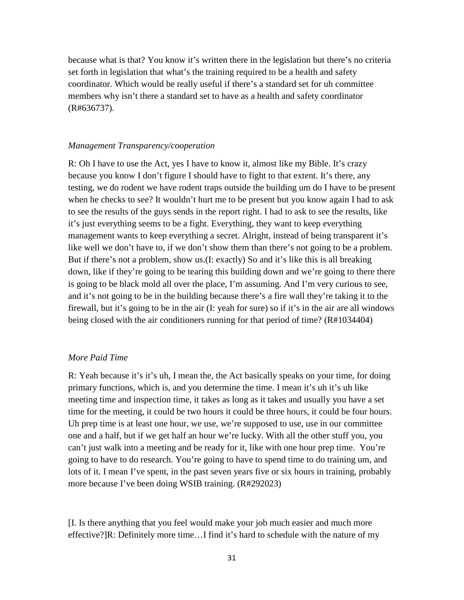because what is that? You know it's written there in the legislation but there's no criteria set forth in legislation that what's the training required to be a health and safety coordinator. Which would be really useful if there's a standard set for uh committee members why isn't there a standard set to have as a health and safety coordinator (R#636737).

#### *Management Transparency/cooperation*

R: Oh I have to use the Act, yes I have to know it, almost like my Bible. It's crazy because you know I don't figure I should have to fight to that extent. It's there, any testing, we do rodent we have rodent traps outside the building um do I have to be present when he checks to see? It wouldn't hurt me to be present but you know again I had to ask to see the results of the guys sends in the report right. I had to ask to see the results, like it's just everything seems to be a fight. Everything, they want to keep everything management wants to keep everything a secret. Alright, instead of being transparent it's like well we don't have to, if we don't show them than there's not going to be a problem. But if there's not a problem, show us.(I: exactly) So and it's like this is all breaking down, like if they're going to be tearing this building down and we're going to there there is going to be black mold all over the place, I'm assuming. And I'm very curious to see, and it's not going to be in the building because there's a fire wall they're taking it to the firewall, but it's going to be in the air (I: yeah for sure) so if it's in the air are all windows being closed with the air conditioners running for that period of time? (R#1034404)

#### *More Paid Time*

R: Yeah because it's it's uh, I mean the, the Act basically speaks on your time, for doing primary functions, which is, and you determine the time. I mean it's uh it's uh like meeting time and inspection time, it takes as long as it takes and usually you have a set time for the meeting, it could be two hours it could be three hours, it could be four hours. Uh prep time is at least one hour, we use, we're supposed to use, use in our committee one and a half, but if we get half an hour we're lucky. With all the other stuff you, you can't just walk into a meeting and be ready for it, like with one hour prep time. You're going to have to do research. You're going to have to spend time to do training um, and lots of it. I mean I've spent, in the past seven years five or six hours in training, probably more because I've been doing WSIB training. (R#292023)

[I. Is there anything that you feel would make your job much easier and much more effective?]R: Definitely more time…I find it's hard to schedule with the nature of my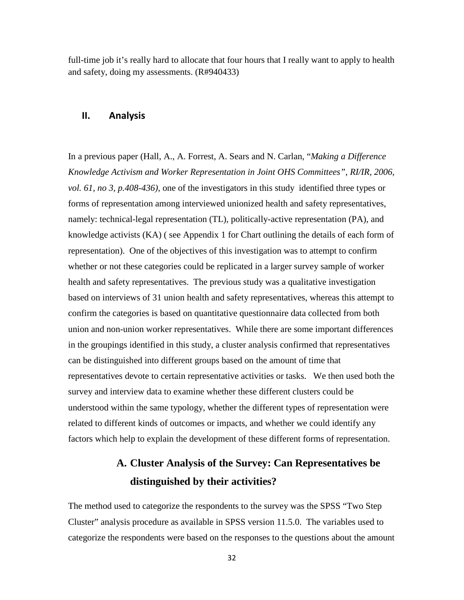full-time job it's really hard to allocate that four hours that I really want to apply to health and safety, doing my assessments. (R#940433)

### **II. Analysis**

In a previous paper (Hall, A., A. Forrest, A. Sears and N. Carlan, "*Making a Difference Knowledge Activism and Worker Representation in Joint OHS Committees"*, *RI/IR, 2006, vol. 61, no 3, p.408-436)*, one of the investigators in this study identified three types or forms of representation among interviewed unionized health and safety representatives, namely: technical-legal representation (TL), politically-active representation (PA), and knowledge activists (KA) ( see Appendix 1 for Chart outlining the details of each form of representation). One of the objectives of this investigation was to attempt to confirm whether or not these categories could be replicated in a larger survey sample of worker health and safety representatives. The previous study was a qualitative investigation based on interviews of 31 union health and safety representatives, whereas this attempt to confirm the categories is based on quantitative questionnaire data collected from both union and non-union worker representatives. While there are some important differences in the groupings identified in this study, a cluster analysis confirmed that representatives can be distinguished into different groups based on the amount of time that representatives devote to certain representative activities or tasks. We then used both the survey and interview data to examine whether these different clusters could be understood within the same typology, whether the different types of representation were related to different kinds of outcomes or impacts, and whether we could identify any factors which help to explain the development of these different forms of representation.

# **A. Cluster Analysis of the Survey: Can Representatives be distinguished by their activities?**

The method used to categorize the respondents to the survey was the SPSS "Two Step Cluster" analysis procedure as available in SPSS version 11.5.0. The variables used to categorize the respondents were based on the responses to the questions about the amount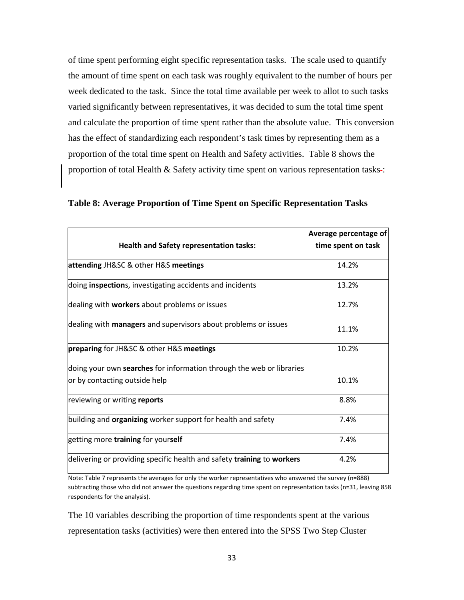of time spent performing eight specific representation tasks. The scale used to quantify the amount of time spent on each task was roughly equivalent to the number of hours per week dedicated to the task. Since the total time available per week to allot to such tasks varied significantly between representatives, it was decided to sum the total time spent and calculate the proportion of time spent rather than the absolute value. This conversion has the effect of standardizing each respondent's task times by representing them as a proportion of the total time spent on Health and Safety activities. Table 8 shows the proportion of total Health  $\&$  Safety activity time spent on various representation tasks :

|                                                                        | Average percentage of |
|------------------------------------------------------------------------|-----------------------|
| <b>Health and Safety representation tasks:</b>                         | time spent on task    |
| attending JH&SC & other H&S meetings                                   | 14.2%                 |
| doing <b>inspection</b> s, investigating accidents and incidents       | 13.2%                 |
| dealing with workers about problems or issues                          | 12.7%                 |
| dealing with <b>managers</b> and supervisors about problems or issues  | 11.1%                 |
| preparing for JH&SC & other H&S meetings                               | 10.2%                 |
| doing your own searches for information through the web or libraries   |                       |
| or by contacting outside help                                          | 10.1%                 |
| reviewing or writing reports                                           | 8.8%                  |
| building and <b>organizing</b> worker support for health and safety    | 7.4%                  |
| getting more training for yourself                                     | 7.4%                  |
| delivering or providing specific health and safety training to workers | 4.2%                  |

**Table 8: Average Proportion of Time Spent on Specific Representation Tasks**

Note: Table 7 represents the averages for only the worker representatives who answered the survey (n=888) subtracting those who did not answer the questions regarding time spent on representation tasks (n=31, leaving 858 respondents for the analysis).

The 10 variables describing the proportion of time respondents spent at the various representation tasks (activities) were then entered into the SPSS Two Step Cluster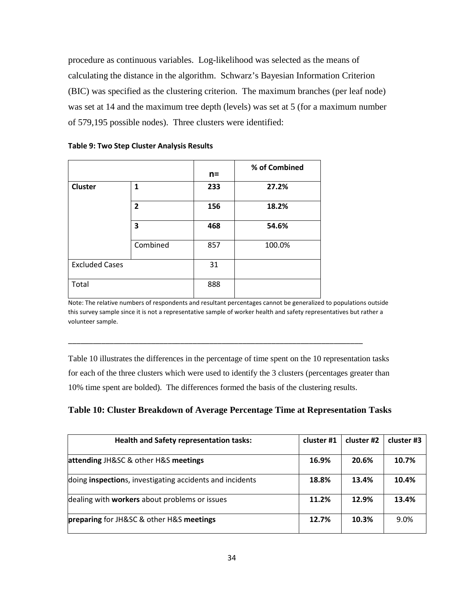procedure as continuous variables. Log-likelihood was selected as the means of calculating the distance in the algorithm. Schwarz's Bayesian Information Criterion (BIC) was specified as the clustering criterion. The maximum branches (per leaf node) was set at 14 and the maximum tree depth (levels) was set at 5 (for a maximum number of 579,195 possible nodes). Three clusters were identified:

|                       |              | $n =$ | % of Combined |
|-----------------------|--------------|-------|---------------|
| <b>Cluster</b>        | 1            | 233   | 27.2%         |
|                       | $\mathbf{2}$ | 156   | 18.2%         |
|                       | 3            | 468   | 54.6%         |
|                       | Combined     | 857   | 100.0%        |
| <b>Excluded Cases</b> |              | 31    |               |
| Total                 |              | 888   |               |

**Table 9: Two Step Cluster Analysis Results**

Note: The relative numbers of respondents and resultant percentages cannot be generalized to populations outside this survey sample since it is not a representative sample of worker health and safety representatives but rather a volunteer sample.

\_\_\_\_\_\_\_\_\_\_\_\_\_\_\_\_\_\_\_\_\_\_\_\_\_\_\_\_\_\_\_\_\_\_\_\_\_\_\_\_\_\_\_\_\_\_\_\_\_\_\_\_\_\_\_\_\_\_\_\_\_\_\_\_\_\_\_\_\_\_\_

Table 10 illustrates the differences in the percentage of time spent on the 10 representation tasks for each of the three clusters which were used to identify the 3 clusters (percentages greater than 10% time spent are bolded). The differences formed the basis of the clustering results.

# **Table 10: Cluster Breakdown of Average Percentage Time at Representation Tasks**

| <b>Health and Safety representation tasks:</b>           | cluster #1 | cluster #2 | cluster #3 |
|----------------------------------------------------------|------------|------------|------------|
| attending JH&SC & other H&S meetings                     | 16.9%      | 20.6%      | 10.7%      |
| doing inspections, investigating accidents and incidents | 18.8%      | 13.4%      | 10.4%      |
| dealing with workers about problems or issues            | 11.2%      | 12.9%      | 13.4%      |
| preparing for JH&SC & other H&S meetings                 | 12.7%      | 10.3%      | 9.0%       |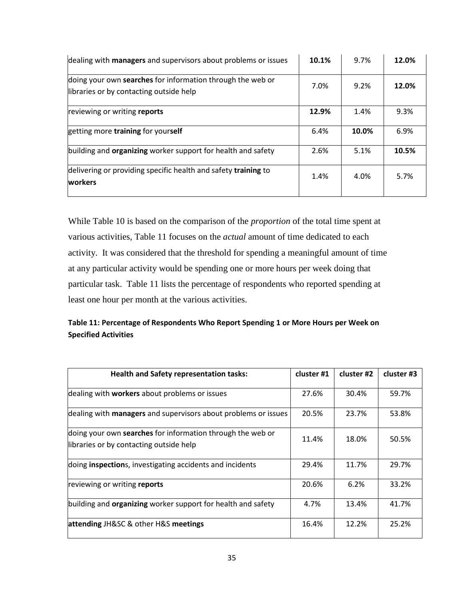| dealing with <b>managers</b> and supervisors about problems or issues                                 | 10.1% | 9.7%  | 12.0% |
|-------------------------------------------------------------------------------------------------------|-------|-------|-------|
| doing your own searches for information through the web or<br>libraries or by contacting outside help | 7.0%  | 9.2%  | 12.0% |
| reviewing or writing reports                                                                          | 12.9% | 1.4%  | 9.3%  |
| getting more training for yourself                                                                    | 6.4%  | 10.0% | 6.9%  |
| building and <b>organizing</b> worker support for health and safety                                   | 2.6%  | 5.1%  | 10.5% |
| delivering or providing specific health and safety training to<br>workers                             | 1.4%  | 4.0%  | 5.7%  |

While Table 10 is based on the comparison of the *proportion* of the total time spent at various activities, Table 11 focuses on the *actual* amount of time dedicated to each activity. It was considered that the threshold for spending a meaningful amount of time at any particular activity would be spending one or more hours per week doing that particular task. Table 11 lists the percentage of respondents who reported spending at least one hour per month at the various activities.

# **Table 11: Percentage of Respondents Who Report Spending 1 or More Hours per Week on Specified Activities**

| <b>Health and Safety representation tasks:</b>                                                        | cluster #1 | cluster #2 | cluster #3 |
|-------------------------------------------------------------------------------------------------------|------------|------------|------------|
| dealing with workers about problems or issues                                                         | 27.6%      | 30.4%      | 59.7%      |
| dealing with <b>managers</b> and supervisors about problems or issues                                 | 20.5%      | 23.7%      | 53.8%      |
| doing your own searches for information through the web or<br>libraries or by contacting outside help | 11.4%      | 18.0%      | 50.5%      |
| doing <b>inspection</b> s, investigating accidents and incidents                                      | 29.4%      | 11.7%      | 29.7%      |
| reviewing or writing reports                                                                          | 20.6%      | 6.2%       | 33.2%      |
| building and <b>organizing</b> worker support for health and safety                                   | 4.7%       | 13.4%      | 41.7%      |
| attending JH&SC & other H&S meetings                                                                  | 16.4%      | 12.2%      | 25.2%      |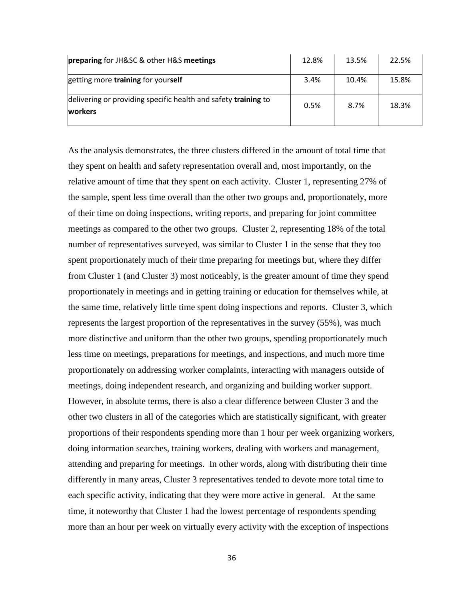| preparing for JH&SC & other H&S meetings                                         | 12.8% | 13.5% | 22.5% |
|----------------------------------------------------------------------------------|-------|-------|-------|
| getting more training for yourself                                               | 3.4%  | 10.4% | 15.8% |
| delivering or providing specific health and safety training to<br><b>workers</b> | 0.5%  | 8.7%  | 18.3% |

As the analysis demonstrates, the three clusters differed in the amount of total time that they spent on health and safety representation overall and, most importantly, on the relative amount of time that they spent on each activity. Cluster 1, representing 27% of the sample, spent less time overall than the other two groups and, proportionately, more of their time on doing inspections, writing reports, and preparing for joint committee meetings as compared to the other two groups. Cluster 2, representing 18% of the total number of representatives surveyed, was similar to Cluster 1 in the sense that they too spent proportionately much of their time preparing for meetings but, where they differ from Cluster 1 (and Cluster 3) most noticeably, is the greater amount of time they spend proportionately in meetings and in getting training or education for themselves while, at the same time, relatively little time spent doing inspections and reports. Cluster 3, which represents the largest proportion of the representatives in the survey (55%), was much more distinctive and uniform than the other two groups, spending proportionately much less time on meetings, preparations for meetings, and inspections, and much more time proportionately on addressing worker complaints, interacting with managers outside of meetings, doing independent research, and organizing and building worker support. However, in absolute terms, there is also a clear difference between Cluster 3 and the other two clusters in all of the categories which are statistically significant, with greater proportions of their respondents spending more than 1 hour per week organizing workers, doing information searches, training workers, dealing with workers and management, attending and preparing for meetings. In other words, along with distributing their time differently in many areas, Cluster 3 representatives tended to devote more total time to each specific activity, indicating that they were more active in general. At the same time, it noteworthy that Cluster 1 had the lowest percentage of respondents spending more than an hour per week on virtually every activity with the exception of inspections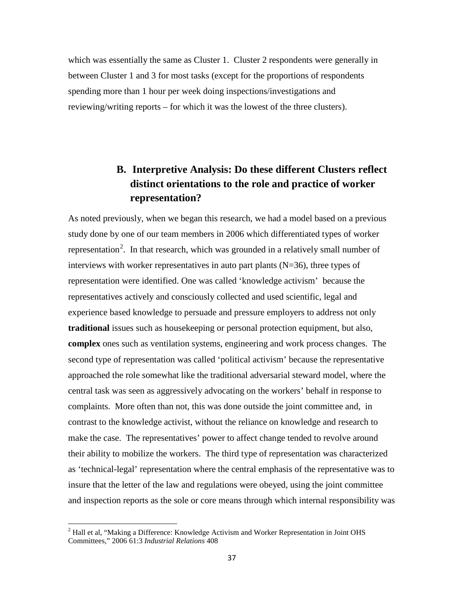which was essentially the same as Cluster 1. Cluster 2 respondents were generally in between Cluster 1 and 3 for most tasks (except for the proportions of respondents spending more than 1 hour per week doing inspections/investigations and reviewing/writing reports – for which it was the lowest of the three clusters).

# **B. Interpretive Analysis: Do these different Clusters reflect distinct orientations to the role and practice of worker representation?**

As noted previously, when we began this research, we had a model based on a previous study done by one of our team members in 2006 which differentiated types of worker representation<sup>[2](#page-36-0)</sup>. In that research, which was grounded in a relatively small number of interviews with worker representatives in auto part plants  $(N=36)$ , three types of representation were identified. One was called 'knowledge activism' because the representatives actively and consciously collected and used scientific, legal and experience based knowledge to persuade and pressure employers to address not only **traditional** issues such as housekeeping or personal protection equipment, but also, **complex** ones such as ventilation systems, engineering and work process changes. The second type of representation was called 'political activism' because the representative approached the role somewhat like the traditional adversarial steward model, where the central task was seen as aggressively advocating on the workers' behalf in response to complaints. More often than not, this was done outside the joint committee and, in contrast to the knowledge activist, without the reliance on knowledge and research to make the case. The representatives' power to affect change tended to revolve around their ability to mobilize the workers. The third type of representation was characterized as 'technical-legal' representation where the central emphasis of the representative was to insure that the letter of the law and regulations were obeyed, using the joint committee and inspection reports as the sole or core means through which internal responsibility was

l

<span id="page-36-0"></span> $<sup>2</sup>$  Hall et al, "Making a Difference: Knowledge Activism and Worker Representation in Joint OHS</sup> Committees," 2006 61:3 *Industrial Relations* 408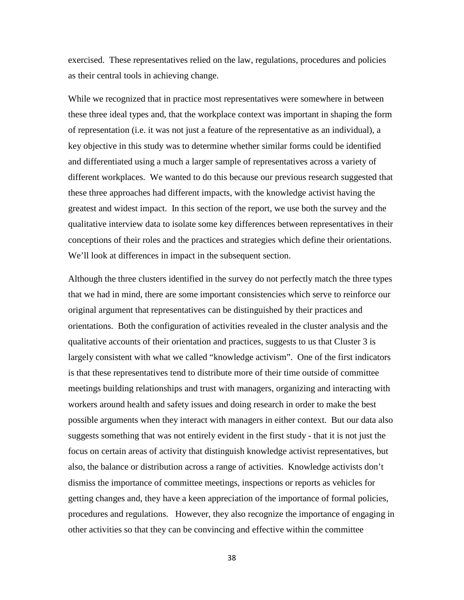exercised. These representatives relied on the law, regulations, procedures and policies as their central tools in achieving change.

While we recognized that in practice most representatives were somewhere in between these three ideal types and, that the workplace context was important in shaping the form of representation (i.e. it was not just a feature of the representative as an individual), a key objective in this study was to determine whether similar forms could be identified and differentiated using a much a larger sample of representatives across a variety of different workplaces. We wanted to do this because our previous research suggested that these three approaches had different impacts, with the knowledge activist having the greatest and widest impact. In this section of the report, we use both the survey and the qualitative interview data to isolate some key differences between representatives in their conceptions of their roles and the practices and strategies which define their orientations. We'll look at differences in impact in the subsequent section.

Although the three clusters identified in the survey do not perfectly match the three types that we had in mind, there are some important consistencies which serve to reinforce our original argument that representatives can be distinguished by their practices and orientations. Both the configuration of activities revealed in the cluster analysis and the qualitative accounts of their orientation and practices, suggests to us that Cluster 3 is largely consistent with what we called "knowledge activism". One of the first indicators is that these representatives tend to distribute more of their time outside of committee meetings building relationships and trust with managers, organizing and interacting with workers around health and safety issues and doing research in order to make the best possible arguments when they interact with managers in either context. But our data also suggests something that was not entirely evident in the first study - that it is not just the focus on certain areas of activity that distinguish knowledge activist representatives, but also, the balance or distribution across a range of activities. Knowledge activists don't dismiss the importance of committee meetings, inspections or reports as vehicles for getting changes and, they have a keen appreciation of the importance of formal policies, procedures and regulations. However, they also recognize the importance of engaging in other activities so that they can be convincing and effective within the committee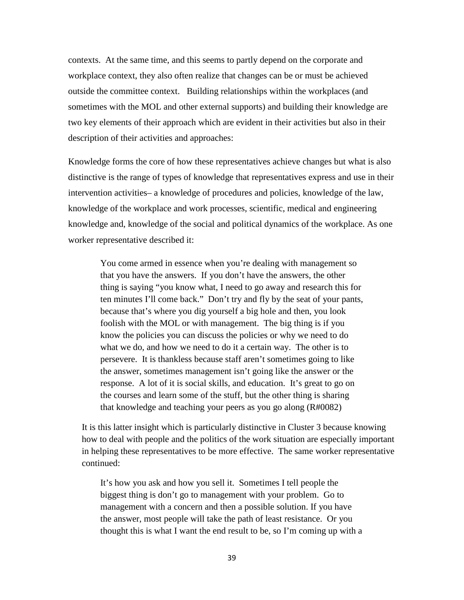contexts. At the same time, and this seems to partly depend on the corporate and workplace context, they also often realize that changes can be or must be achieved outside the committee context. Building relationships within the workplaces (and sometimes with the MOL and other external supports) and building their knowledge are two key elements of their approach which are evident in their activities but also in their description of their activities and approaches:

Knowledge forms the core of how these representatives achieve changes but what is also distinctive is the range of types of knowledge that representatives express and use in their intervention activities– a knowledge of procedures and policies, knowledge of the law, knowledge of the workplace and work processes, scientific, medical and engineering knowledge and, knowledge of the social and political dynamics of the workplace. As one worker representative described it:

You come armed in essence when you're dealing with management so that you have the answers. If you don't have the answers, the other thing is saying "you know what, I need to go away and research this for ten minutes I'll come back." Don't try and fly by the seat of your pants, because that's where you dig yourself a big hole and then, you look foolish with the MOL or with management. The big thing is if you know the policies you can discuss the policies or why we need to do what we do, and how we need to do it a certain way. The other is to persevere. It is thankless because staff aren't sometimes going to like the answer, sometimes management isn't going like the answer or the response. A lot of it is social skills, and education. It's great to go on the courses and learn some of the stuff, but the other thing is sharing that knowledge and teaching your peers as you go along (R#0082)

It is this latter insight which is particularly distinctive in Cluster 3 because knowing how to deal with people and the politics of the work situation are especially important in helping these representatives to be more effective. The same worker representative continued:

It's how you ask and how you sell it. Sometimes I tell people the biggest thing is don't go to management with your problem. Go to management with a concern and then a possible solution. If you have the answer, most people will take the path of least resistance. Or you thought this is what I want the end result to be, so I'm coming up with a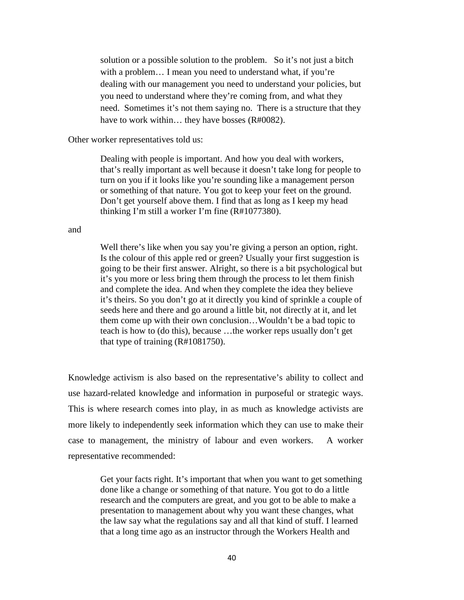solution or a possible solution to the problem. So it's not just a bitch with a problem… I mean you need to understand what, if you're dealing with our management you need to understand your policies, but you need to understand where they're coming from, and what they need. Sometimes it's not them saying no. There is a structure that they have to work within… they have bosses (R#0082).

Other worker representatives told us:

Dealing with people is important. And how you deal with workers, that's really important as well because it doesn't take long for people to turn on you if it looks like you're sounding like a management person or something of that nature. You got to keep your feet on the ground. Don't get yourself above them. I find that as long as I keep my head thinking I'm still a worker I'm fine (R#1077380).

#### and

Well there's like when you say you're giving a person an option, right. Is the colour of this apple red or green? Usually your first suggestion is going to be their first answer. Alright, so there is a bit psychological but it's you more or less bring them through the process to let them finish and complete the idea. And when they complete the idea they believe it's theirs. So you don't go at it directly you kind of sprinkle a couple of seeds here and there and go around a little bit, not directly at it, and let them come up with their own conclusion…Wouldn't be a bad topic to teach is how to (do this), because …the worker reps usually don't get that type of training (R#1081750).

Knowledge activism is also based on the representative's ability to collect and use hazard-related knowledge and information in purposeful or strategic ways. This is where research comes into play, in as much as knowledge activists are more likely to independently seek information which they can use to make their case to management, the ministry of labour and even workers. A worker representative recommended:

> Get your facts right. It's important that when you want to get something done like a change or something of that nature. You got to do a little research and the computers are great, and you got to be able to make a presentation to management about why you want these changes, what the law say what the regulations say and all that kind of stuff. I learned that a long time ago as an instructor through the Workers Health and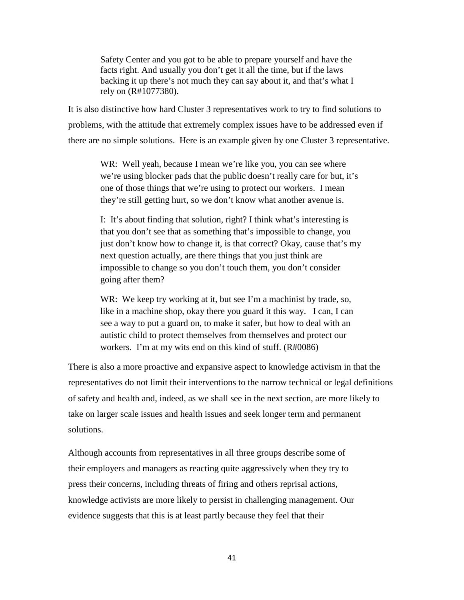Safety Center and you got to be able to prepare yourself and have the facts right. And usually you don't get it all the time, but if the laws backing it up there's not much they can say about it, and that's what I rely on (R#1077380).

It is also distinctive how hard Cluster 3 representatives work to try to find solutions to problems, with the attitude that extremely complex issues have to be addressed even if there are no simple solutions. Here is an example given by one Cluster 3 representative.

WR: Well yeah, because I mean we're like you, you can see where we're using blocker pads that the public doesn't really care for but, it's one of those things that we're using to protect our workers. I mean they're still getting hurt, so we don't know what another avenue is.

I: It's about finding that solution, right? I think what's interesting is that you don't see that as something that's impossible to change, you just don't know how to change it, is that correct? Okay, cause that's my next question actually, are there things that you just think are impossible to change so you don't touch them, you don't consider going after them?

WR: We keep try working at it, but see I'm a machinist by trade, so, like in a machine shop, okay there you guard it this way. I can, I can see a way to put a guard on, to make it safer, but how to deal with an autistic child to protect themselves from themselves and protect our workers. I'm at my wits end on this kind of stuff. (R#0086)

There is also a more proactive and expansive aspect to knowledge activism in that the representatives do not limit their interventions to the narrow technical or legal definitions of safety and health and, indeed, as we shall see in the next section, are more likely to take on larger scale issues and health issues and seek longer term and permanent solutions.

Although accounts from representatives in all three groups describe some of their employers and managers as reacting quite aggressively when they try to press their concerns, including threats of firing and others reprisal actions, knowledge activists are more likely to persist in challenging management. Our evidence suggests that this is at least partly because they feel that their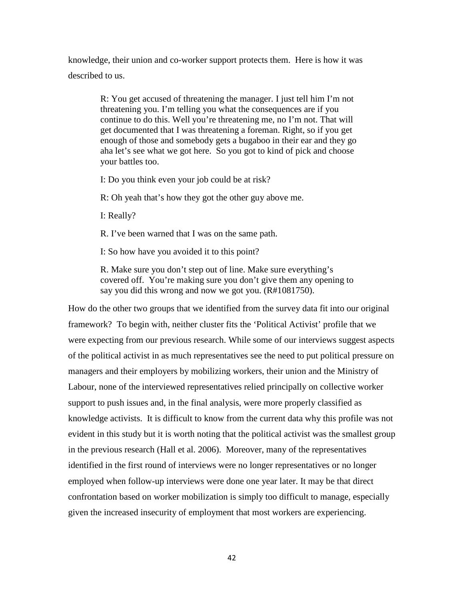knowledge, their union and co-worker support protects them. Here is how it was described to us.

> R: You get accused of threatening the manager. I just tell him I'm not threatening you. I'm telling you what the consequences are if you continue to do this. Well you're threatening me, no I'm not. That will get documented that I was threatening a foreman. Right, so if you get enough of those and somebody gets a bugaboo in their ear and they go aha let's see what we got here. So you got to kind of pick and choose your battles too.

I: Do you think even your job could be at risk?

R: Oh yeah that's how they got the other guy above me.

I: Really?

R. I've been warned that I was on the same path.

I: So how have you avoided it to this point?

R. Make sure you don't step out of line. Make sure everything's covered off. You're making sure you don't give them any opening to say you did this wrong and now we got you. (R#1081750).

How do the other two groups that we identified from the survey data fit into our original framework? To begin with, neither cluster fits the 'Political Activist' profile that we were expecting from our previous research. While some of our interviews suggest aspects of the political activist in as much representatives see the need to put political pressure on managers and their employers by mobilizing workers, their union and the Ministry of Labour, none of the interviewed representatives relied principally on collective worker support to push issues and, in the final analysis, were more properly classified as knowledge activists. It is difficult to know from the current data why this profile was not evident in this study but it is worth noting that the political activist was the smallest group in the previous research (Hall et al. 2006). Moreover, many of the representatives identified in the first round of interviews were no longer representatives or no longer employed when follow-up interviews were done one year later. It may be that direct confrontation based on worker mobilization is simply too difficult to manage, especially given the increased insecurity of employment that most workers are experiencing.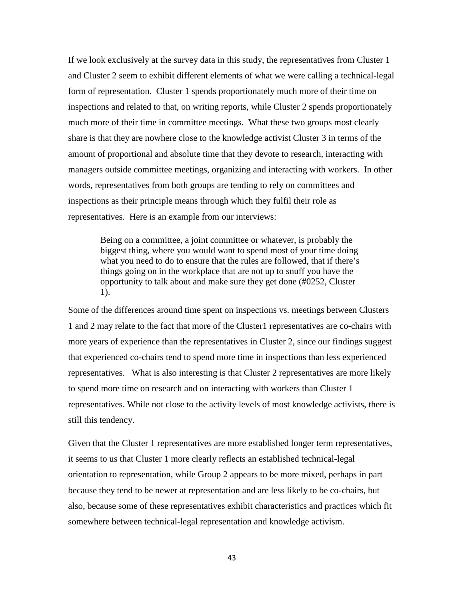If we look exclusively at the survey data in this study, the representatives from Cluster 1 and Cluster 2 seem to exhibit different elements of what we were calling a technical-legal form of representation. Cluster 1 spends proportionately much more of their time on inspections and related to that, on writing reports, while Cluster 2 spends proportionately much more of their time in committee meetings. What these two groups most clearly share is that they are nowhere close to the knowledge activist Cluster 3 in terms of the amount of proportional and absolute time that they devote to research, interacting with managers outside committee meetings, organizing and interacting with workers. In other words, representatives from both groups are tending to rely on committees and inspections as their principle means through which they fulfil their role as representatives. Here is an example from our interviews:

Being on a committee, a joint committee or whatever, is probably the biggest thing, where you would want to spend most of your time doing what you need to do to ensure that the rules are followed, that if there's things going on in the workplace that are not up to snuff you have the opportunity to talk about and make sure they get done (#0252, Cluster 1).

Some of the differences around time spent on inspections vs. meetings between Clusters 1 and 2 may relate to the fact that more of the Cluster1 representatives are co-chairs with more years of experience than the representatives in Cluster 2, since our findings suggest that experienced co-chairs tend to spend more time in inspections than less experienced representatives. What is also interesting is that Cluster 2 representatives are more likely to spend more time on research and on interacting with workers than Cluster 1 representatives. While not close to the activity levels of most knowledge activists, there is still this tendency.

Given that the Cluster 1 representatives are more established longer term representatives, it seems to us that Cluster 1 more clearly reflects an established technical-legal orientation to representation, while Group 2 appears to be more mixed, perhaps in part because they tend to be newer at representation and are less likely to be co-chairs, but also, because some of these representatives exhibit characteristics and practices which fit somewhere between technical-legal representation and knowledge activism.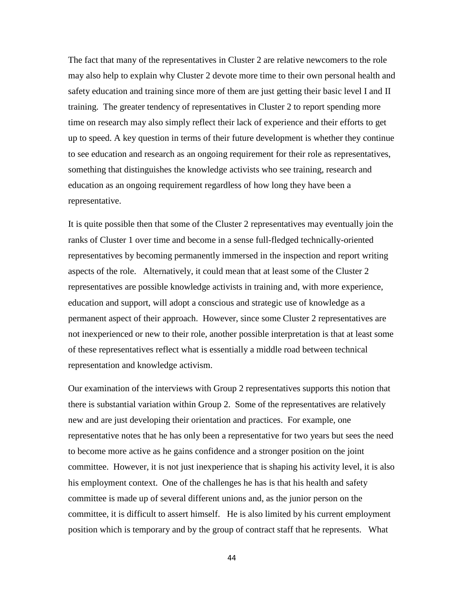The fact that many of the representatives in Cluster 2 are relative newcomers to the role may also help to explain why Cluster 2 devote more time to their own personal health and safety education and training since more of them are just getting their basic level I and II training. The greater tendency of representatives in Cluster 2 to report spending more time on research may also simply reflect their lack of experience and their efforts to get up to speed. A key question in terms of their future development is whether they continue to see education and research as an ongoing requirement for their role as representatives, something that distinguishes the knowledge activists who see training, research and education as an ongoing requirement regardless of how long they have been a representative.

It is quite possible then that some of the Cluster 2 representatives may eventually join the ranks of Cluster 1 over time and become in a sense full-fledged technically-oriented representatives by becoming permanently immersed in the inspection and report writing aspects of the role. Alternatively, it could mean that at least some of the Cluster 2 representatives are possible knowledge activists in training and, with more experience, education and support, will adopt a conscious and strategic use of knowledge as a permanent aspect of their approach. However, since some Cluster 2 representatives are not inexperienced or new to their role, another possible interpretation is that at least some of these representatives reflect what is essentially a middle road between technical representation and knowledge activism.

Our examination of the interviews with Group 2 representatives supports this notion that there is substantial variation within Group 2. Some of the representatives are relatively new and are just developing their orientation and practices. For example, one representative notes that he has only been a representative for two years but sees the need to become more active as he gains confidence and a stronger position on the joint committee. However, it is not just inexperience that is shaping his activity level, it is also his employment context. One of the challenges he has is that his health and safety committee is made up of several different unions and, as the junior person on the committee, it is difficult to assert himself. He is also limited by his current employment position which is temporary and by the group of contract staff that he represents. What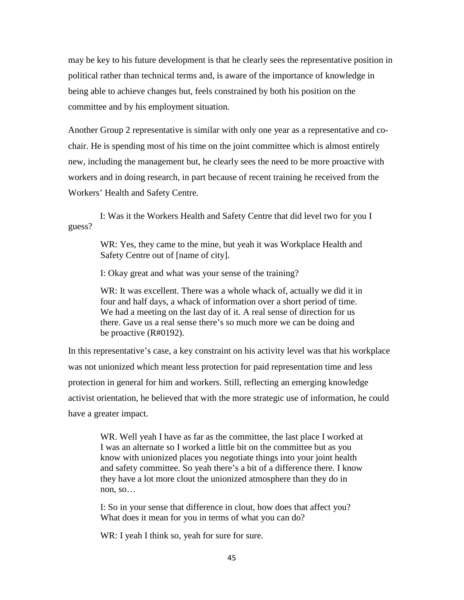may be key to his future development is that he clearly sees the representative position in political rather than technical terms and, is aware of the importance of knowledge in being able to achieve changes but, feels constrained by both his position on the committee and by his employment situation.

Another Group 2 representative is similar with only one year as a representative and cochair. He is spending most of his time on the joint committee which is almost entirely new, including the management but, he clearly sees the need to be more proactive with workers and in doing research, in part because of recent training he received from the Workers' Health and Safety Centre.

 I: Was it the Workers Health and Safety Centre that did level two for you I guess?

> WR: Yes, they came to the mine, but yeah it was Workplace Health and Safety Centre out of [name of city].

I: Okay great and what was your sense of the training?

WR: It was excellent. There was a whole whack of, actually we did it in four and half days, a whack of information over a short period of time. We had a meeting on the last day of it. A real sense of direction for us there. Gave us a real sense there's so much more we can be doing and be proactive (R#0192).

In this representative's case, a key constraint on his activity level was that his workplace was not unionized which meant less protection for paid representation time and less protection in general for him and workers. Still, reflecting an emerging knowledge activist orientation, he believed that with the more strategic use of information, he could have a greater impact.

WR. Well yeah I have as far as the committee, the last place I worked at I was an alternate so I worked a little bit on the committee but as you know with unionized places you negotiate things into your joint health and safety committee. So yeah there's a bit of a difference there. I know they have a lot more clout the unionized atmosphere than they do in non, so…

I: So in your sense that difference in clout, how does that affect you? What does it mean for you in terms of what you can do?

WR: I yeah I think so, yeah for sure for sure.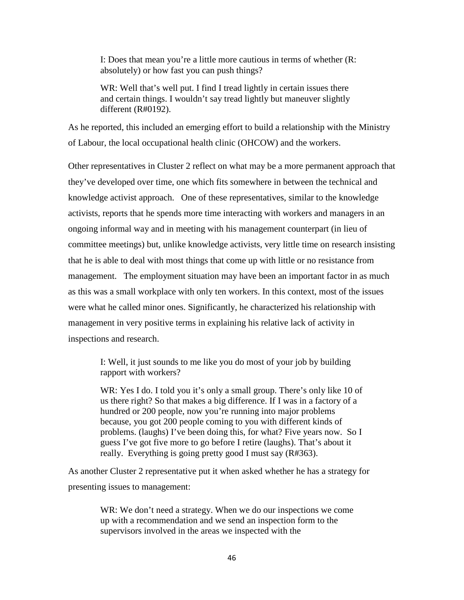I: Does that mean you're a little more cautious in terms of whether (R: absolutely) or how fast you can push things?

WR: Well that's well put. I find I tread lightly in certain issues there and certain things. I wouldn't say tread lightly but maneuver slightly different (R#0192).

As he reported, this included an emerging effort to build a relationship with the Ministry of Labour, the local occupational health clinic (OHCOW) and the workers.

Other representatives in Cluster 2 reflect on what may be a more permanent approach that they've developed over time, one which fits somewhere in between the technical and knowledge activist approach. One of these representatives, similar to the knowledge activists, reports that he spends more time interacting with workers and managers in an ongoing informal way and in meeting with his management counterpart (in lieu of committee meetings) but, unlike knowledge activists, very little time on research insisting that he is able to deal with most things that come up with little or no resistance from management. The employment situation may have been an important factor in as much as this was a small workplace with only ten workers. In this context, most of the issues were what he called minor ones. Significantly, he characterized his relationship with management in very positive terms in explaining his relative lack of activity in inspections and research.

I: Well, it just sounds to me like you do most of your job by building rapport with workers?

WR: Yes I do. I told you it's only a small group. There's only like 10 of us there right? So that makes a big difference. If I was in a factory of a hundred or 200 people, now you're running into major problems because, you got 200 people coming to you with different kinds of problems. (laughs) I've been doing this, for what? Five years now. So I guess I've got five more to go before I retire (laughs). That's about it really. Everything is going pretty good I must say (R#363).

As another Cluster 2 representative put it when asked whether he has a strategy for presenting issues to management:

> WR: We don't need a strategy. When we do our inspections we come up with a recommendation and we send an inspection form to the supervisors involved in the areas we inspected with the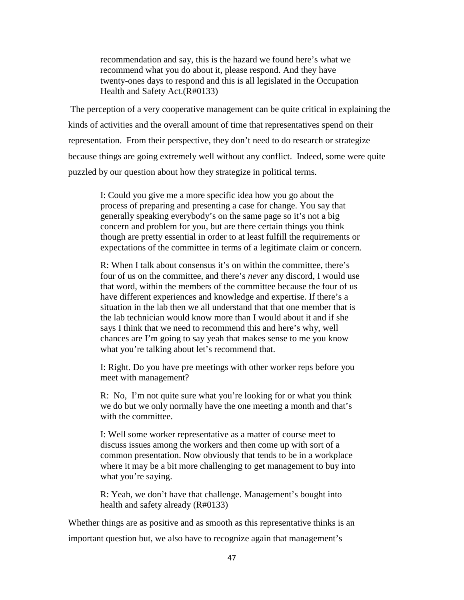recommendation and say, this is the hazard we found here's what we recommend what you do about it, please respond. And they have twenty-ones days to respond and this is all legislated in the Occupation Health and Safety Act.(R#0133)

The perception of a very cooperative management can be quite critical in explaining the kinds of activities and the overall amount of time that representatives spend on their representation. From their perspective, they don't need to do research or strategize because things are going extremely well without any conflict. Indeed, some were quite puzzled by our question about how they strategize in political terms.

I: Could you give me a more specific idea how you go about the process of preparing and presenting a case for change. You say that generally speaking everybody's on the same page so it's not a big concern and problem for you, but are there certain things you think though are pretty essential in order to at least fulfill the requirements or expectations of the committee in terms of a legitimate claim or concern.

R: When I talk about consensus it's on within the committee, there's four of us on the committee, and there's *never* any discord, I would use that word, within the members of the committee because the four of us have different experiences and knowledge and expertise. If there's a situation in the lab then we all understand that that one member that is the lab technician would know more than I would about it and if she says I think that we need to recommend this and here's why, well chances are I'm going to say yeah that makes sense to me you know what you're talking about let's recommend that.

I: Right. Do you have pre meetings with other worker reps before you meet with management?

R: No, I'm not quite sure what you're looking for or what you think we do but we only normally have the one meeting a month and that's with the committee.

I: Well some worker representative as a matter of course meet to discuss issues among the workers and then come up with sort of a common presentation. Now obviously that tends to be in a workplace where it may be a bit more challenging to get management to buy into what you're saying.

R: Yeah, we don't have that challenge. Management's bought into health and safety already (R#0133)

Whether things are as positive and as smooth as this representative thinks is an important question but, we also have to recognize again that management's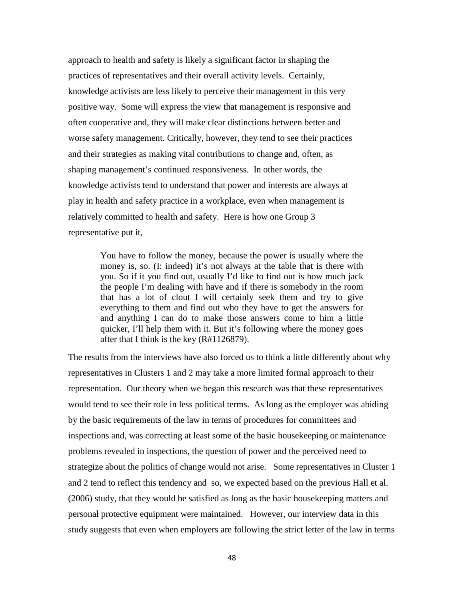approach to health and safety is likely a significant factor in shaping the practices of representatives and their overall activity levels. Certainly, knowledge activists are less likely to perceive their management in this very positive way. Some will express the view that management is responsive and often cooperative and, they will make clear distinctions between better and worse safety management. Critically, however, they tend to see their practices and their strategies as making vital contributions to change and, often, as shaping management's continued responsiveness. In other words, the knowledge activists tend to understand that power and interests are always at play in health and safety practice in a workplace, even when management is relatively committed to health and safety. Here is how one Group 3 representative put it,

> You have to follow the money, because the power is usually where the money is, so. (I: indeed) it's not always at the table that is there with you. So if it you find out, usually I'd like to find out is how much jack the people I'm dealing with have and if there is somebody in the room that has a lot of clout I will certainly seek them and try to give everything to them and find out who they have to get the answers for and anything I can do to make those answers come to him a little quicker, I'll help them with it. But it's following where the money goes after that I think is the key (R#1126879).

The results from the interviews have also forced us to think a little differently about why representatives in Clusters 1 and 2 may take a more limited formal approach to their representation. Our theory when we began this research was that these representatives would tend to see their role in less political terms. As long as the employer was abiding by the basic requirements of the law in terms of procedures for committees and inspections and, was correcting at least some of the basic housekeeping or maintenance problems revealed in inspections, the question of power and the perceived need to strategize about the politics of change would not arise. Some representatives in Cluster 1 and 2 tend to reflect this tendency and so, we expected based on the previous Hall et al. (2006) study, that they would be satisfied as long as the basic housekeeping matters and personal protective equipment were maintained. However, our interview data in this study suggests that even when employers are following the strict letter of the law in terms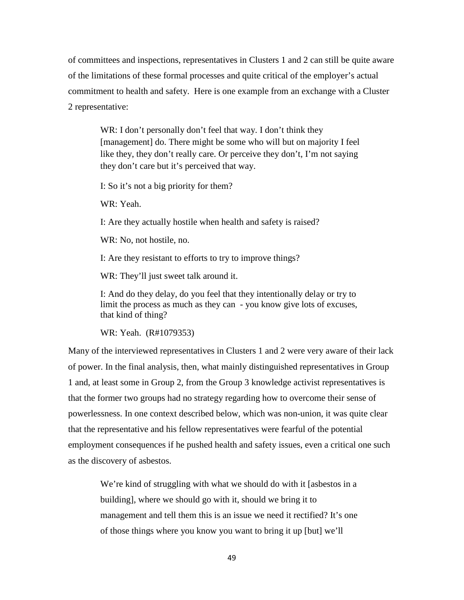of committees and inspections, representatives in Clusters 1 and 2 can still be quite aware of the limitations of these formal processes and quite critical of the employer's actual commitment to health and safety. Here is one example from an exchange with a Cluster 2 representative:

WR: I don't personally don't feel that way. I don't think they [management] do. There might be some who will but on majority I feel like they, they don't really care. Or perceive they don't, I'm not saying they don't care but it's perceived that way.

I: So it's not a big priority for them?

WR: Yeah.

I: Are they actually hostile when health and safety is raised?

WR: No, not hostile, no.

I: Are they resistant to efforts to try to improve things?

WR: They'll just sweet talk around it.

I: And do they delay, do you feel that they intentionally delay or try to limit the process as much as they can - you know give lots of excuses, that kind of thing?

WR: Yeah. (R#1079353)

Many of the interviewed representatives in Clusters 1 and 2 were very aware of their lack of power. In the final analysis, then, what mainly distinguished representatives in Group 1 and, at least some in Group 2, from the Group 3 knowledge activist representatives is that the former two groups had no strategy regarding how to overcome their sense of powerlessness. In one context described below, which was non-union, it was quite clear that the representative and his fellow representatives were fearful of the potential employment consequences if he pushed health and safety issues, even a critical one such as the discovery of asbestos.

We're kind of struggling with what we should do with it [asbestos in a building], where we should go with it, should we bring it to management and tell them this is an issue we need it rectified? It's one of those things where you know you want to bring it up [but] we'll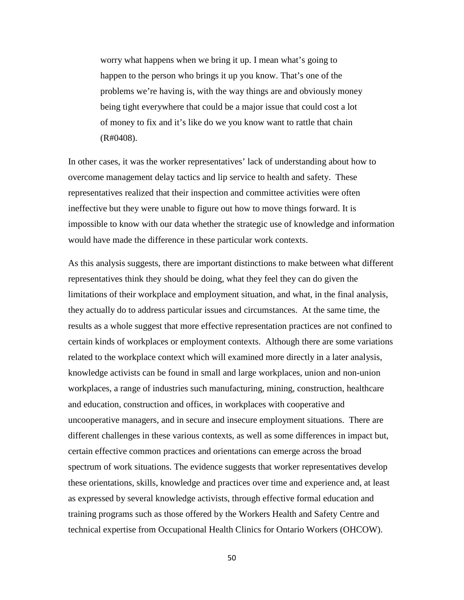worry what happens when we bring it up. I mean what's going to happen to the person who brings it up you know. That's one of the problems we're having is, with the way things are and obviously money being tight everywhere that could be a major issue that could cost a lot of money to fix and it's like do we you know want to rattle that chain (R#0408).

In other cases, it was the worker representatives' lack of understanding about how to overcome management delay tactics and lip service to health and safety. These representatives realized that their inspection and committee activities were often ineffective but they were unable to figure out how to move things forward. It is impossible to know with our data whether the strategic use of knowledge and information would have made the difference in these particular work contexts.

As this analysis suggests, there are important distinctions to make between what different representatives think they should be doing, what they feel they can do given the limitations of their workplace and employment situation, and what, in the final analysis, they actually do to address particular issues and circumstances. At the same time, the results as a whole suggest that more effective representation practices are not confined to certain kinds of workplaces or employment contexts. Although there are some variations related to the workplace context which will examined more directly in a later analysis, knowledge activists can be found in small and large workplaces, union and non-union workplaces, a range of industries such manufacturing, mining, construction, healthcare and education, construction and offices, in workplaces with cooperative and uncooperative managers, and in secure and insecure employment situations. There are different challenges in these various contexts, as well as some differences in impact but, certain effective common practices and orientations can emerge across the broad spectrum of work situations. The evidence suggests that worker representatives develop these orientations, skills, knowledge and practices over time and experience and, at least as expressed by several knowledge activists, through effective formal education and training programs such as those offered by the Workers Health and Safety Centre and technical expertise from Occupational Health Clinics for Ontario Workers (OHCOW).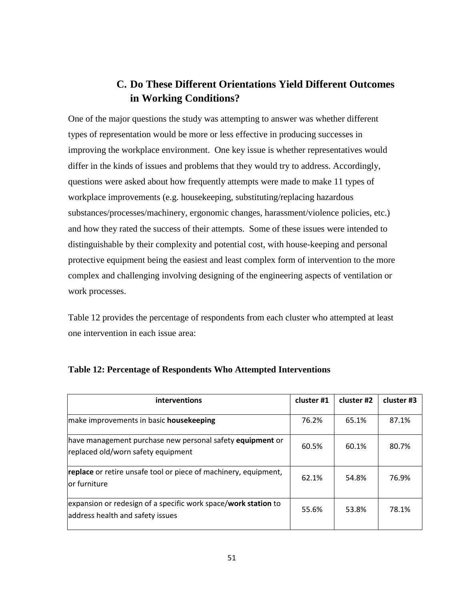# **C. Do These Different Orientations Yield Different Outcomes in Working Conditions?**

One of the major questions the study was attempting to answer was whether different types of representation would be more or less effective in producing successes in improving the workplace environment. One key issue is whether representatives would differ in the kinds of issues and problems that they would try to address. Accordingly, questions were asked about how frequently attempts were made to make 11 types of workplace improvements (e.g. housekeeping, substituting/replacing hazardous substances/processes/machinery, ergonomic changes, harassment/violence policies, etc.) and how they rated the success of their attempts. Some of these issues were intended to distinguishable by their complexity and potential cost, with house-keeping and personal protective equipment being the easiest and least complex form of intervention to the more complex and challenging involving designing of the engineering aspects of ventilation or work processes.

Table 12 provides the percentage of respondents from each cluster who attempted at least one intervention in each issue area:

| interventions                                                                                              | cluster #1 | cluster #2 | cluster #3 |
|------------------------------------------------------------------------------------------------------------|------------|------------|------------|
| make improvements in basic <b>housekeeping</b>                                                             | 76.2%      | 65.1%      | 87.1%      |
| have management purchase new personal safety <b>equipment</b> or<br>replaced old/worn safety equipment     | 60.5%      | 60.1%      | 80.7%      |
| <b>replace</b> or retire unsafe tool or piece of machinery, equipment,<br>lor furniture                    | 62.1%      | 54.8%      | 76.9%      |
| expansion or redesign of a specific work space/ <b>work station</b> to<br>address health and safety issues | 55.6%      | 53.8%      | 78.1%      |

## **Table 12: Percentage of Respondents Who Attempted Interventions**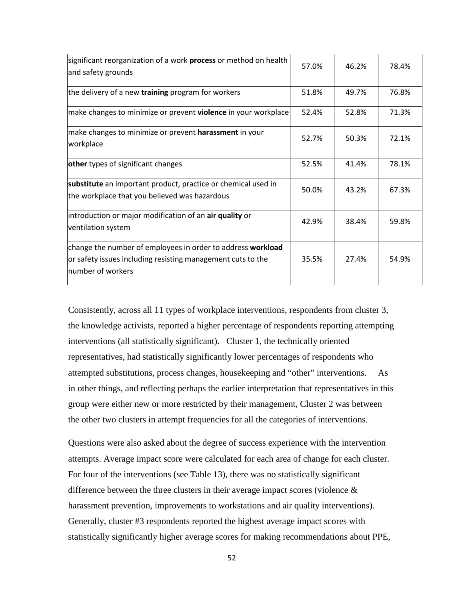| significant reorganization of a work process or method on health<br>and safety grounds                                                          | 57.0% | 46.2% | 78.4% |
|-------------------------------------------------------------------------------------------------------------------------------------------------|-------|-------|-------|
| the delivery of a new training program for workers                                                                                              | 51.8% | 49.7% | 76.8% |
| make changes to minimize or prevent violence in your workplace                                                                                  | 52.4% | 52.8% | 71.3% |
| make changes to minimize or prevent harassment in your<br>workplace                                                                             | 52.7% | 50.3% | 72.1% |
| other types of significant changes                                                                                                              | 52.5% | 41.4% | 78.1% |
| substitute an important product, practice or chemical used in<br>the workplace that you believed was hazardous                                  | 50.0% | 43.2% | 67.3% |
| introduction or major modification of an air quality or<br>ventilation system                                                                   | 42.9% | 38.4% | 59.8% |
| change the number of employees in order to address workload<br>or safety issues including resisting management cuts to the<br>number of workers | 35.5% | 27.4% | 54.9% |

Consistently, across all 11 types of workplace interventions, respondents from cluster 3, the knowledge activists, reported a higher percentage of respondents reporting attempting interventions (all statistically significant). Cluster 1, the technically oriented representatives, had statistically significantly lower percentages of respondents who attempted substitutions, process changes, housekeeping and "other" interventions. As in other things, and reflecting perhaps the earlier interpretation that representatives in this group were either new or more restricted by their management, Cluster 2 was between the other two clusters in attempt frequencies for all the categories of interventions.

Questions were also asked about the degree of success experience with the intervention attempts. Average impact score were calculated for each area of change for each cluster. For four of the interventions (see Table 13), there was no statistically significant difference between the three clusters in their average impact scores (violence  $\&$ harassment prevention, improvements to workstations and air quality interventions). Generally, cluster #3 respondents reported the highest average impact scores with statistically significantly higher average scores for making recommendations about PPE,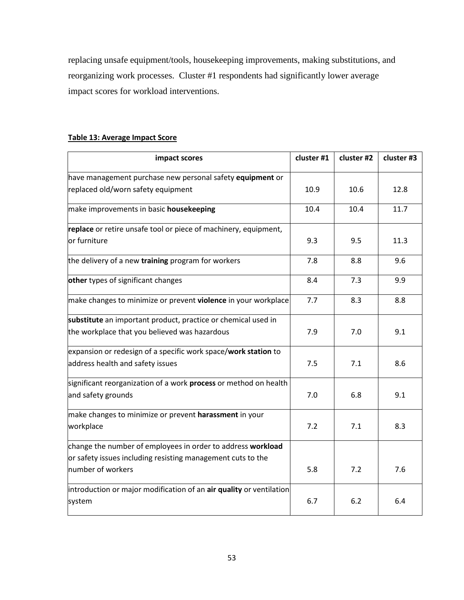replacing unsafe equipment/tools, housekeeping improvements, making substitutions, and reorganizing work processes. Cluster #1 respondents had significantly lower average impact scores for workload interventions.

| impact scores                                                           | cluster #1 | cluster #2 | cluster #3 |
|-------------------------------------------------------------------------|------------|------------|------------|
| have management purchase new personal safety equipment or               |            |            |            |
| replaced old/worn safety equipment                                      | 10.9       | 10.6       | 12.8       |
| make improvements in basic <b>housekeeping</b>                          | 10.4       | 10.4       | 11.7       |
| replace or retire unsafe tool or piece of machinery, equipment,         |            |            |            |
| or furniture                                                            | 9.3        | 9.5        | 11.3       |
| the delivery of a new training program for workers                      | 7.8        | 8.8        | 9.6        |
| other types of significant changes                                      | 8.4        | 7.3        | 9.9        |
| make changes to minimize or prevent <b>violence</b> in your workplace   | 7.7        | 8.3        | 8.8        |
| substitute an important product, practice or chemical used in           |            |            |            |
| the workplace that you believed was hazardous                           | 7.9        | 7.0        | 9.1        |
| expansion or redesign of a specific work space/work station to          |            |            |            |
| address health and safety issues                                        | 7.5        | 7.1        | 8.6        |
| significant reorganization of a work <b>process</b> or method on health |            |            |            |
| and safety grounds                                                      | 7.0        | 6.8        | 9.1        |
| make changes to minimize or prevent harassment in your                  |            |            |            |
| workplace                                                               | 7.2        | 7.1        | 8.3        |
| change the number of employees in order to address workload             |            |            |            |
| or safety issues including resisting management cuts to the             |            |            |            |
| number of workers                                                       | 5.8        | 7.2        | 7.6        |
| introduction or major modification of an air quality or ventilation     |            |            |            |
| system                                                                  | 6.7        | 6.2        | 6.4        |

## **Table 13: Average Impact Score**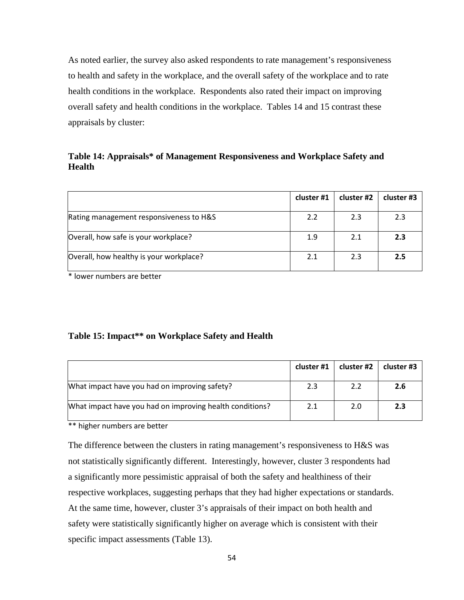As noted earlier, the survey also asked respondents to rate management's responsiveness to health and safety in the workplace, and the overall safety of the workplace and to rate health conditions in the workplace. Respondents also rated their impact on improving overall safety and health conditions in the workplace. Tables 14 and 15 contrast these appraisals by cluster:

## **Table 14: Appraisals\* of Management Responsiveness and Workplace Safety and Health**

|                                         | cluster #1 | cluster #2 | cluster #3 |
|-----------------------------------------|------------|------------|------------|
| Rating management responsiveness to H&S | 2.2        | 2.3        | 2.3        |
| Overall, how safe is your workplace?    | 1.9        | 2.1        | 2.3        |
| Overall, how healthy is your workplace? | 2.1        | 2.3        | 2.5        |

\* lower numbers are better

### **Table 15: Impact\*\* on Workplace Safety and Health**

|                                                          | cluster #1 | cluster #2 | cluster #3 |
|----------------------------------------------------------|------------|------------|------------|
| What impact have you had on improving safety?            | 2.3        | 2.2        | 2.6        |
| What impact have you had on improving health conditions? | 2.1        | 2.0        | 2.3        |

\*\* higher numbers are better

The difference between the clusters in rating management's responsiveness to H&S was not statistically significantly different. Interestingly, however, cluster 3 respondents had a significantly more pessimistic appraisal of both the safety and healthiness of their respective workplaces, suggesting perhaps that they had higher expectations or standards. At the same time, however, cluster 3's appraisals of their impact on both health and safety were statistically significantly higher on average which is consistent with their specific impact assessments (Table 13).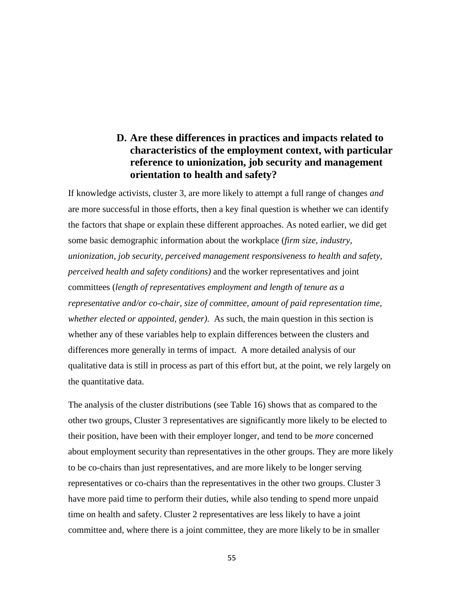# **D. Are these differences in practices and impacts related to characteristics of the employment context, with particular reference to unionization, job security and management orientation to health and safety?**

If knowledge activists, cluster 3, are more likely to attempt a full range of changes *and* are more successful in those efforts, then a key final question is whether we can identify the factors that shape or explain these different approaches. As noted earlier, we did get some basic demographic information about the workplace (*firm size, industry, unionization, job security, perceived management responsiveness to health and safety, perceived health and safety conditions)* and the worker representatives and joint committees (*length of representatives employment and length of tenure as a representative and/or co-chair, size of committee, amount of paid representation time, whether elected or appointed, gender)*. As such, the main question in this section is whether any of these variables help to explain differences between the clusters and differences more generally in terms of impact. A more detailed analysis of our qualitative data is still in process as part of this effort but, at the point, we rely largely on the quantitative data.

The analysis of the cluster distributions (see Table 16) shows that as compared to the other two groups, Cluster 3 representatives are significantly more likely to be elected to their position, have been with their employer longer, and tend to be *more* concerned about employment security than representatives in the other groups. They are more likely to be co-chairs than just representatives, and are more likely to be longer serving representatives or co-chairs than the representatives in the other two groups. Cluster 3 have more paid time to perform their duties, while also tending to spend more unpaid time on health and safety. Cluster 2 representatives are less likely to have a joint committee and, where there is a joint committee, they are more likely to be in smaller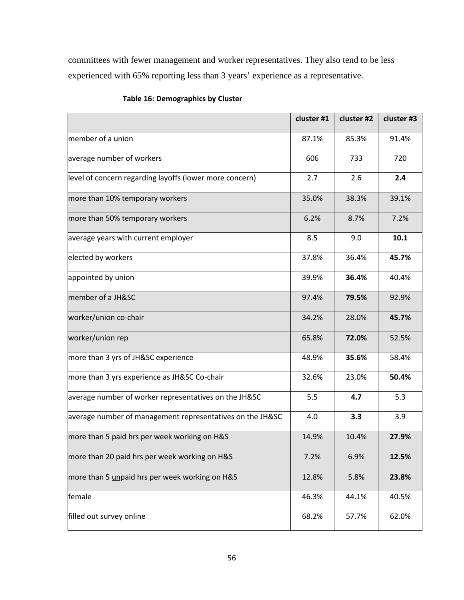committees with fewer management and worker representatives. They also tend to be less experienced with 65% reporting less than 3 years' experience as a representative.

|                                                           | cluster #1 | cluster #2 | cluster #3 |  |
|-----------------------------------------------------------|------------|------------|------------|--|
| member of a union                                         | 87.1%      | 85.3%      | 91.4%      |  |
| average number of workers                                 | 606        | 733        | 720        |  |
| level of concern regarding layoffs (lower more concern)   | 2.7        | 2.6        | 2.4        |  |
| more than 10% temporary workers                           | 35.0%      | 38.3%      | 39.1%      |  |
| more than 50% temporary workers                           | 6.2%       | 8.7%       | 7.2%       |  |
| average years with current employer                       | 8.5        | 9.0        | 10.1       |  |
| elected by workers                                        | 37.8%      | 36.4%      | 45.7%      |  |
| appointed by union                                        | 39.9%      | 36.4%      | 40.4%      |  |
| member of a JH&SC                                         | 97.4%      | 79.5%      | 92.9%      |  |
| worker/union co-chair                                     | 34.2%      | 28.0%      | 45.7%      |  |
| worker/union rep                                          | 65.8%      | 72.0%      | 52.5%      |  |
| more than 3 yrs of JH&SC experience                       | 48.9%      | 35.6%      | 58.4%      |  |
| more than 3 yrs experience as JH&SC Co-chair              | 32.6%      | 23.0%      | 50.4%      |  |
| average number of worker representatives on the JH&SC     | 5.5        | 4.7        | 5.3        |  |
| average number of management representatives on the JH&SC | 4.0        | 3.3        | 3.9        |  |
| more than 5 paid hrs per week working on H&S              | 14.9%      | 10.4%      | 27.9%      |  |
| more than 20 paid hrs per week working on H&S             | 7.2%       | 6.9%       | 12.5%      |  |
| more than 5 unpaid hrs per week working on H&S            | 12.8%      | 5.8%       | 23.8%      |  |
| female                                                    | 46.3%      | 44.1%      | 40.5%      |  |
| filled out survey online                                  | 68.2%      | 57.7%      | 62.0%      |  |

## **Table 16: Demographics by Cluster**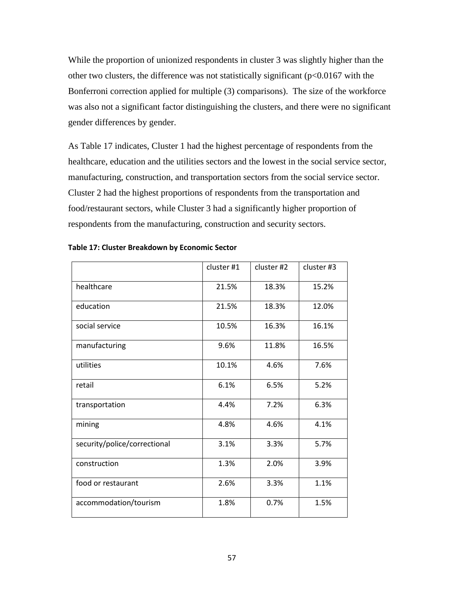While the proportion of unionized respondents in cluster 3 was slightly higher than the other two clusters, the difference was not statistically significant  $(p<0.0167$  with the Bonferroni correction applied for multiple (3) comparisons). The size of the workforce was also not a significant factor distinguishing the clusters, and there were no significant gender differences by gender.

As Table 17 indicates, Cluster 1 had the highest percentage of respondents from the healthcare, education and the utilities sectors and the lowest in the social service sector, manufacturing, construction, and transportation sectors from the social service sector. Cluster 2 had the highest proportions of respondents from the transportation and food/restaurant sectors, while Cluster 3 had a significantly higher proportion of respondents from the manufacturing, construction and security sectors.

|                              | cluster #1 | cluster #2 | cluster #3 |
|------------------------------|------------|------------|------------|
| healthcare                   | 21.5%      | 18.3%      | 15.2%      |
| education                    | 21.5%      | 18.3%      | 12.0%      |
| social service               | 10.5%      | 16.3%      | 16.1%      |
| manufacturing                | 9.6%       | 11.8%      | 16.5%      |
| utilities                    | 10.1%      | 4.6%       | 7.6%       |
| retail                       | 6.1%       | 6.5%       | 5.2%       |
| transportation               | 4.4%       | 7.2%       | 6.3%       |
| mining                       | 4.8%       | 4.6%       | 4.1%       |
| security/police/correctional | 3.1%       | 3.3%       | 5.7%       |
| construction                 | 1.3%       | 2.0%       | 3.9%       |
| food or restaurant           | 2.6%       | 3.3%       | 1.1%       |
| accommodation/tourism        | 1.8%       | 0.7%       | 1.5%       |

|  |  | Table 17: Cluster Breakdown by Economic Sector |
|--|--|------------------------------------------------|
|--|--|------------------------------------------------|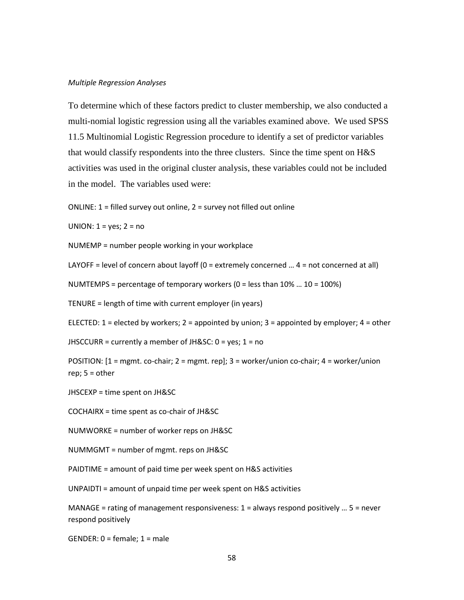#### *Multiple Regression Analyses*

To determine which of these factors predict to cluster membership, we also conducted a multi-nomial logistic regression using all the variables examined above. We used SPSS 11.5 Multinomial Logistic Regression procedure to identify a set of predictor variables that would classify respondents into the three clusters. Since the time spent on H&S activities was used in the original cluster analysis, these variables could not be included in the model. The variables used were:

ONLINE: 1 = filled survey out online, 2 = survey not filled out online

UNION:  $1 = yes$ ;  $2 = no$ 

NUMEMP = number people working in your workplace

LAYOFF = level of concern about layoff (0 = extremely concerned … 4 = not concerned at all)

NUMTEMPS = percentage of temporary workers  $(0 =$  less than  $10\%$  ...  $10 = 100\%)$ 

TENURE = length of time with current employer (in years)

ELECTED:  $1$  = elected by workers;  $2$  = appointed by union;  $3$  = appointed by employer;  $4$  = other

JHSCCURR = currently a member of JH&SC:  $0 = yes$ ;  $1 = no$ 

POSITION: [1 = mgmt. co-chair; 2 = mgmt. rep]; 3 = worker/union co-chair; 4 = worker/union rep; 5 = other

JHSCEXP = time spent on JH&SC

COCHAIRX = time spent as co-chair of JH&SC

NUMWORKE = number of worker reps on JH&SC

NUMMGMT = number of mgmt. reps on JH&SC

PAIDTIME = amount of paid time per week spent on H&S activities

UNPAIDTI = amount of unpaid time per week spent on H&S activities

MANAGE = rating of management responsiveness:  $1 =$  always respond positively ...  $5 =$  never respond positively

 $GENDER: 0 = female; 1 = male$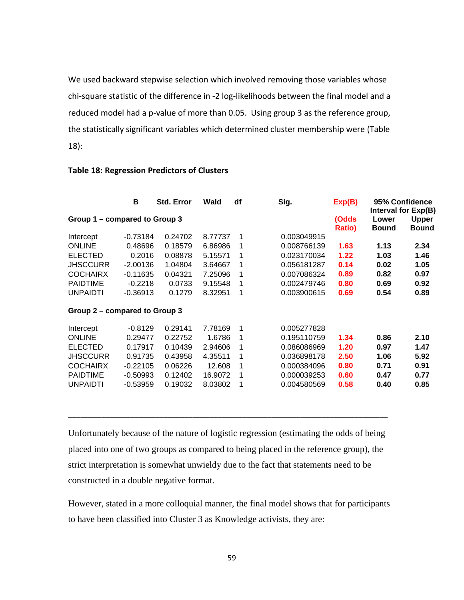We used backward stepwise selection which involved removing those variables whose chi-square statistic of the difference in -2 log-likelihoods between the final model and a reduced model had a p-value of more than 0.05. Using group 3 as the reference group, the statistically significant variables which determined cluster membership were (Table 18):

|                               | в          | <b>Std. Error</b> | Wald    | df | Sig.        | Exp(B)                 |                       | 95% Confidence<br>Interval for Exp(B) |
|-------------------------------|------------|-------------------|---------|----|-------------|------------------------|-----------------------|---------------------------------------|
| Group 1 - compared to Group 3 |            |                   |         |    |             | (Odds<br><b>Ratio)</b> | Lower<br><b>Bound</b> | Upper<br><b>Bound</b>                 |
| Intercept                     | $-0.73184$ | 0.24702           | 8.77737 | 1  | 0.003049915 |                        |                       |                                       |
| <b>ONLINE</b>                 | 0.48696    | 0.18579           | 6.86986 |    | 0.008766139 | 1.63                   | 1.13                  | 2.34                                  |
| <b>ELECTED</b>                | 0.2016     | 0.08878           | 5.15571 | 1  | 0.023170034 | 1.22                   | 1.03                  | 1.46                                  |
| <b>JHSCCURR</b>               | $-2.00136$ | 1.04804           | 3.64667 | 1  | 0.056181287 | 0.14                   | 0.02                  | 1.05                                  |
| <b>COCHAIRX</b>               | $-0.11635$ | 0.04321           | 7.25096 |    | 0.007086324 | 0.89                   | 0.82                  | 0.97                                  |
| <b>PAIDTIME</b>               | $-0.2218$  | 0.0733            | 9.15548 | 1  | 0.002479746 | 0.80                   | 0.69                  | 0.92                                  |
| <b>UNPAIDTI</b>               | $-0.36913$ | 0.1279            | 8.32951 | 1  | 0.003900615 | 0.69                   | 0.54                  | 0.89                                  |
| Group 2 - compared to Group 3 |            |                   |         |    |             |                        |                       |                                       |
| Intercept                     | $-0.8129$  | 0.29141           | 7.78169 | 1  | 0.005277828 |                        |                       |                                       |
| <b>ONLINE</b>                 | 0.29477    | 0.22752           | 1.6786  | 1  | 0.195110759 | 1.34                   | 0.86                  | 2.10                                  |
| <b>ELECTED</b>                | 0.17917    | 0.10439           | 2.94606 |    | 0.086086969 | 1.20                   | 0.97                  | 1.47                                  |
| <b>JHSCCURR</b>               | 0.91735    | 0.43958           | 4.35511 | 1  | 0.036898178 | 2.50                   | 1.06                  | 5.92                                  |
| <b>COCHAIRX</b>               | $-0.22105$ | 0.06226           | 12.608  | 1  | 0.000384096 | 0.80                   | 0.71                  | 0.91                                  |
| <b>PAIDTIME</b>               | $-0.50993$ | 0.12402           | 16.9072 | 1  | 0.000039253 | 0.60                   | 0.47                  | 0.77                                  |
| <b>UNPAIDTI</b>               | $-0.53959$ | 0.19032           | 8.03802 |    | 0.004580569 | 0.58                   | 0.40                  | 0.85                                  |

#### **Table 18: Regression Predictors of Clusters**

Unfortunately because of the nature of logistic regression (estimating the odds of being placed into one of two groups as compared to being placed in the reference group), the strict interpretation is somewhat unwieldy due to the fact that statements need to be constructed in a double negative format.

\_\_\_\_\_\_\_\_\_\_\_\_\_\_\_\_\_\_\_\_\_\_\_\_\_\_\_\_\_\_\_\_\_\_\_\_\_\_\_\_\_\_\_\_\_\_\_\_\_\_\_\_\_\_\_\_\_\_\_\_\_\_\_\_\_\_\_\_\_\_\_\_\_\_\_\_\_

However, stated in a more colloquial manner, the final model shows that for participants to have been classified into Cluster 3 as Knowledge activists, they are: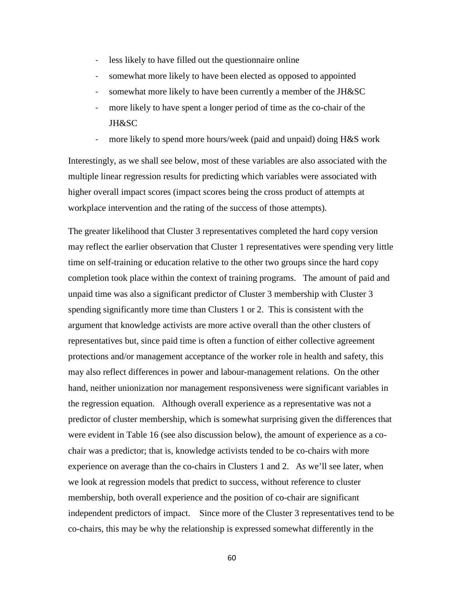- less likely to have filled out the questionnaire online
- somewhat more likely to have been elected as opposed to appointed
- somewhat more likely to have been currently a member of the JH&SC
- more likely to have spent a longer period of time as the co-chair of the JH&SC
- more likely to spend more hours/week (paid and unpaid) doing H&S work

Interestingly, as we shall see below, most of these variables are also associated with the multiple linear regression results for predicting which variables were associated with higher overall impact scores (impact scores being the cross product of attempts at workplace intervention and the rating of the success of those attempts).

The greater likelihood that Cluster 3 representatives completed the hard copy version may reflect the earlier observation that Cluster 1 representatives were spending very little time on self-training or education relative to the other two groups since the hard copy completion took place within the context of training programs. The amount of paid and unpaid time was also a significant predictor of Cluster 3 membership with Cluster 3 spending significantly more time than Clusters 1 or 2. This is consistent with the argument that knowledge activists are more active overall than the other clusters of representatives but, since paid time is often a function of either collective agreement protections and/or management acceptance of the worker role in health and safety, this may also reflect differences in power and labour-management relations. On the other hand, neither unionization nor management responsiveness were significant variables in the regression equation. Although overall experience as a representative was not a predictor of cluster membership, which is somewhat surprising given the differences that were evident in Table 16 (see also discussion below), the amount of experience as a cochair was a predictor; that is, knowledge activists tended to be co-chairs with more experience on average than the co-chairs in Clusters 1 and 2. As we'll see later, when we look at regression models that predict to success, without reference to cluster membership, both overall experience and the position of co-chair are significant independent predictors of impact. Since more of the Cluster 3 representatives tend to be co-chairs, this may be why the relationship is expressed somewhat differently in the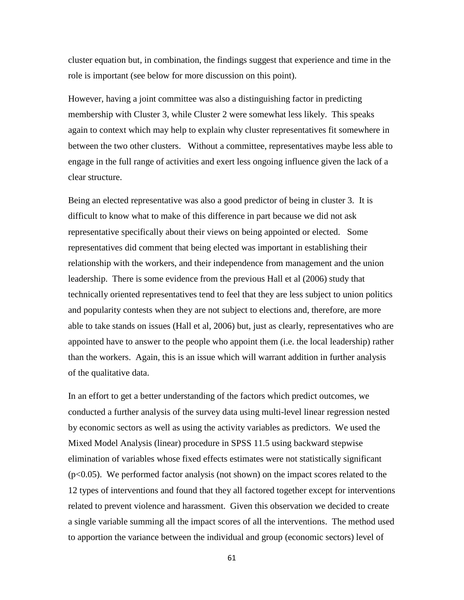cluster equation but, in combination, the findings suggest that experience and time in the role is important (see below for more discussion on this point).

However, having a joint committee was also a distinguishing factor in predicting membership with Cluster 3, while Cluster 2 were somewhat less likely. This speaks again to context which may help to explain why cluster representatives fit somewhere in between the two other clusters. Without a committee, representatives maybe less able to engage in the full range of activities and exert less ongoing influence given the lack of a clear structure.

Being an elected representative was also a good predictor of being in cluster 3. It is difficult to know what to make of this difference in part because we did not ask representative specifically about their views on being appointed or elected. Some representatives did comment that being elected was important in establishing their relationship with the workers, and their independence from management and the union leadership. There is some evidence from the previous Hall et al (2006) study that technically oriented representatives tend to feel that they are less subject to union politics and popularity contests when they are not subject to elections and, therefore, are more able to take stands on issues (Hall et al, 2006) but, just as clearly, representatives who are appointed have to answer to the people who appoint them (i.e. the local leadership) rather than the workers. Again, this is an issue which will warrant addition in further analysis of the qualitative data.

In an effort to get a better understanding of the factors which predict outcomes, we conducted a further analysis of the survey data using multi-level linear regression nested by economic sectors as well as using the activity variables as predictors. We used the Mixed Model Analysis (linear) procedure in SPSS 11.5 using backward stepwise elimination of variables whose fixed effects estimates were not statistically significant  $(p<0.05)$ . We performed factor analysis (not shown) on the impact scores related to the 12 types of interventions and found that they all factored together except for interventions related to prevent violence and harassment. Given this observation we decided to create a single variable summing all the impact scores of all the interventions. The method used to apportion the variance between the individual and group (economic sectors) level of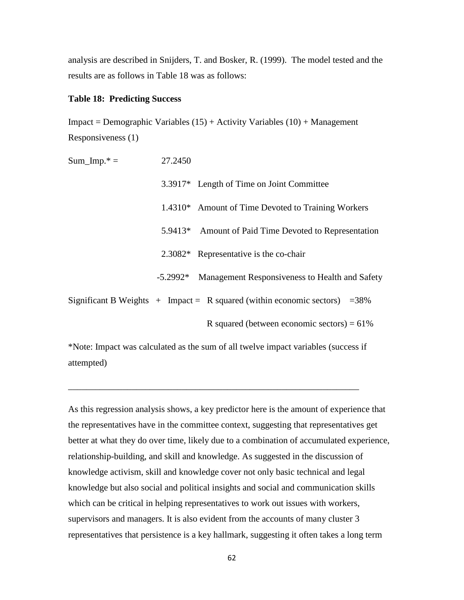analysis are described in Snijders, T. and Bosker, R. (1999). The model tested and the results are as follows in Table 18 was as follows:

#### **Table 18: Predicting Success**

 $Impact = Demographic Variables (15) + Activity Variables (10) + Management$ Responsiveness (1)

Sum  $\text{Imp.}^* = 27.2450$  3.3917\* Length of Time on Joint Committee 1.4310\* Amount of Time Devoted to Training Workers 5.9413\* Amount of Paid Time Devoted to Representation 2.3082\* Representative is the co-chair -5.2992\* Management Responsiveness to Health and Safety Significant B Weights  $+$  Impact = R squared (within economic sectors) = 38% R squared (between economic sectors) =  $61\%$ 

\*Note: Impact was calculated as the sum of all twelve impact variables (success if attempted)

\_\_\_\_\_\_\_\_\_\_\_\_\_\_\_\_\_\_\_\_\_\_\_\_\_\_\_\_\_\_\_\_\_\_\_\_\_\_\_\_\_\_\_\_\_\_\_\_\_\_\_\_\_\_\_\_\_\_\_\_\_\_\_\_

As this regression analysis shows, a key predictor here is the amount of experience that the representatives have in the committee context, suggesting that representatives get better at what they do over time, likely due to a combination of accumulated experience, relationship-building, and skill and knowledge. As suggested in the discussion of knowledge activism, skill and knowledge cover not only basic technical and legal knowledge but also social and political insights and social and communication skills which can be critical in helping representatives to work out issues with workers, supervisors and managers. It is also evident from the accounts of many cluster 3 representatives that persistence is a key hallmark, suggesting it often takes a long term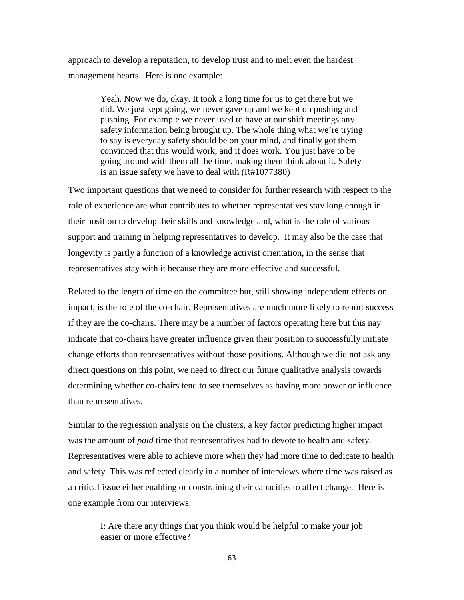approach to develop a reputation, to develop trust and to melt even the hardest management hearts. Here is one example:

> Yeah. Now we do, okay. It took a long time for us to get there but we did. We just kept going, we never gave up and we kept on pushing and pushing. For example we never used to have at our shift meetings any safety information being brought up. The whole thing what we're trying to say is everyday safety should be on your mind, and finally got them convinced that this would work, and it does work. You just have to be going around with them all the time, making them think about it. Safety is an issue safety we have to deal with (R#1077380)

Two important questions that we need to consider for further research with respect to the role of experience are what contributes to whether representatives stay long enough in their position to develop their skills and knowledge and, what is the role of various support and training in helping representatives to develop. It may also be the case that longevity is partly a function of a knowledge activist orientation, in the sense that representatives stay with it because they are more effective and successful.

Related to the length of time on the committee but, still showing independent effects on impact, is the role of the co-chair. Representatives are much more likely to report success if they are the co-chairs. There may be a number of factors operating here but this nay indicate that co-chairs have greater influence given their position to successfully initiate change efforts than representatives without those positions. Although we did not ask any direct questions on this point, we need to direct our future qualitative analysis towards determining whether co-chairs tend to see themselves as having more power or influence than representatives.

Similar to the regression analysis on the clusters, a key factor predicting higher impact was the amount of *paid* time that representatives had to devote to health and safety. Representatives were able to achieve more when they had more time to dedicate to health and safety. This was reflected clearly in a number of interviews where time was raised as a critical issue either enabling or constraining their capacities to affect change. Here is one example from our interviews:

I: Are there any things that you think would be helpful to make your job easier or more effective?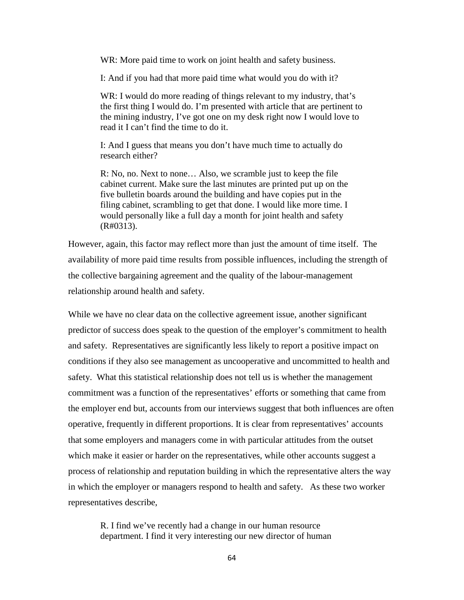WR: More paid time to work on joint health and safety business.

I: And if you had that more paid time what would you do with it?

WR: I would do more reading of things relevant to my industry, that's the first thing I would do. I'm presented with article that are pertinent to the mining industry, I've got one on my desk right now I would love to read it I can't find the time to do it.

I: And I guess that means you don't have much time to actually do research either?

R: No, no. Next to none… Also, we scramble just to keep the file cabinet current. Make sure the last minutes are printed put up on the five bulletin boards around the building and have copies put in the filing cabinet, scrambling to get that done. I would like more time. I would personally like a full day a month for joint health and safety (R#0313).

However, again, this factor may reflect more than just the amount of time itself. The availability of more paid time results from possible influences, including the strength of the collective bargaining agreement and the quality of the labour-management relationship around health and safety.

While we have no clear data on the collective agreement issue, another significant predictor of success does speak to the question of the employer's commitment to health and safety. Representatives are significantly less likely to report a positive impact on conditions if they also see management as uncooperative and uncommitted to health and safety. What this statistical relationship does not tell us is whether the management commitment was a function of the representatives' efforts or something that came from the employer end but, accounts from our interviews suggest that both influences are often operative, frequently in different proportions. It is clear from representatives' accounts that some employers and managers come in with particular attitudes from the outset which make it easier or harder on the representatives, while other accounts suggest a process of relationship and reputation building in which the representative alters the way in which the employer or managers respond to health and safety. As these two worker representatives describe,

R. I find we've recently had a change in our human resource department. I find it very interesting our new director of human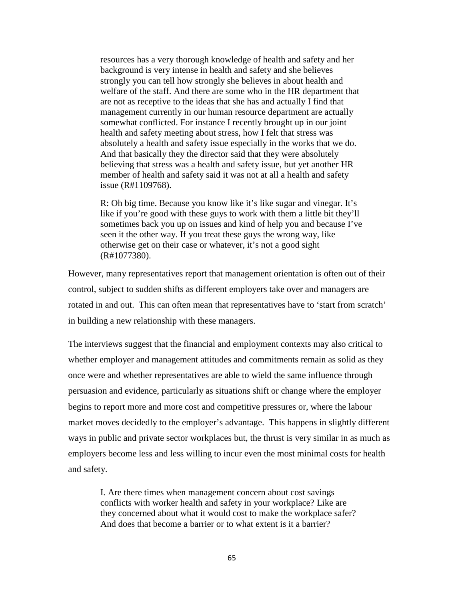resources has a very thorough knowledge of health and safety and her background is very intense in health and safety and she believes strongly you can tell how strongly she believes in about health and welfare of the staff. And there are some who in the HR department that are not as receptive to the ideas that she has and actually I find that management currently in our human resource department are actually somewhat conflicted. For instance I recently brought up in our joint health and safety meeting about stress, how I felt that stress was absolutely a health and safety issue especially in the works that we do. And that basically they the director said that they were absolutely believing that stress was a health and safety issue, but yet another HR member of health and safety said it was not at all a health and safety issue (R#1109768).

R: Oh big time. Because you know like it's like sugar and vinegar. It's like if you're good with these guys to work with them a little bit they'll sometimes back you up on issues and kind of help you and because I've seen it the other way. If you treat these guys the wrong way, like otherwise get on their case or whatever, it's not a good sight (R#1077380).

However, many representatives report that management orientation is often out of their control, subject to sudden shifts as different employers take over and managers are rotated in and out. This can often mean that representatives have to 'start from scratch' in building a new relationship with these managers.

The interviews suggest that the financial and employment contexts may also critical to whether employer and management attitudes and commitments remain as solid as they once were and whether representatives are able to wield the same influence through persuasion and evidence, particularly as situations shift or change where the employer begins to report more and more cost and competitive pressures or, where the labour market moves decidedly to the employer's advantage. This happens in slightly different ways in public and private sector workplaces but, the thrust is very similar in as much as employers become less and less willing to incur even the most minimal costs for health and safety.

I. Are there times when management concern about cost savings conflicts with worker health and safety in your workplace? Like are they concerned about what it would cost to make the workplace safer? And does that become a barrier or to what extent is it a barrier?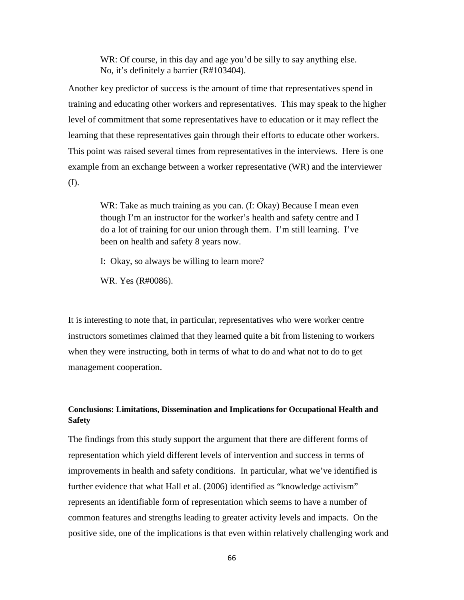WR: Of course, in this day and age you'd be silly to say anything else. No, it's definitely a barrier (R#103404).

Another key predictor of success is the amount of time that representatives spend in training and educating other workers and representatives. This may speak to the higher level of commitment that some representatives have to education or it may reflect the learning that these representatives gain through their efforts to educate other workers. This point was raised several times from representatives in the interviews. Here is one example from an exchange between a worker representative (WR) and the interviewer (I).

WR: Take as much training as you can. (I: Okay) Because I mean even though I'm an instructor for the worker's health and safety centre and I do a lot of training for our union through them. I'm still learning. I've been on health and safety 8 years now.

I: Okay, so always be willing to learn more?

WR. Yes (R#0086).

It is interesting to note that, in particular, representatives who were worker centre instructors sometimes claimed that they learned quite a bit from listening to workers when they were instructing, both in terms of what to do and what not to do to get management cooperation.

## **Conclusions: Limitations, Dissemination and Implications for Occupational Health and Safety**

The findings from this study support the argument that there are different forms of representation which yield different levels of intervention and success in terms of improvements in health and safety conditions. In particular, what we've identified is further evidence that what Hall et al. (2006) identified as "knowledge activism" represents an identifiable form of representation which seems to have a number of common features and strengths leading to greater activity levels and impacts. On the positive side, one of the implications is that even within relatively challenging work and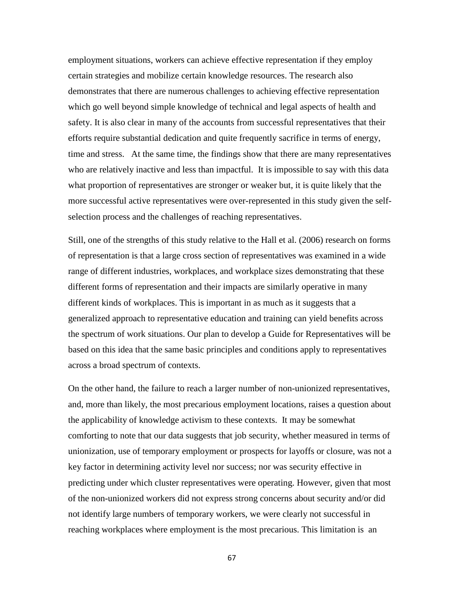employment situations, workers can achieve effective representation if they employ certain strategies and mobilize certain knowledge resources. The research also demonstrates that there are numerous challenges to achieving effective representation which go well beyond simple knowledge of technical and legal aspects of health and safety. It is also clear in many of the accounts from successful representatives that their efforts require substantial dedication and quite frequently sacrifice in terms of energy, time and stress. At the same time, the findings show that there are many representatives who are relatively inactive and less than impactful. It is impossible to say with this data what proportion of representatives are stronger or weaker but, it is quite likely that the more successful active representatives were over-represented in this study given the selfselection process and the challenges of reaching representatives.

Still, one of the strengths of this study relative to the Hall et al. (2006) research on forms of representation is that a large cross section of representatives was examined in a wide range of different industries, workplaces, and workplace sizes demonstrating that these different forms of representation and their impacts are similarly operative in many different kinds of workplaces. This is important in as much as it suggests that a generalized approach to representative education and training can yield benefits across the spectrum of work situations. Our plan to develop a Guide for Representatives will be based on this idea that the same basic principles and conditions apply to representatives across a broad spectrum of contexts.

On the other hand, the failure to reach a larger number of non-unionized representatives, and, more than likely, the most precarious employment locations, raises a question about the applicability of knowledge activism to these contexts. It may be somewhat comforting to note that our data suggests that job security, whether measured in terms of unionization, use of temporary employment or prospects for layoffs or closure, was not a key factor in determining activity level nor success; nor was security effective in predicting under which cluster representatives were operating. However, given that most of the non-unionized workers did not express strong concerns about security and/or did not identify large numbers of temporary workers, we were clearly not successful in reaching workplaces where employment is the most precarious. This limitation is an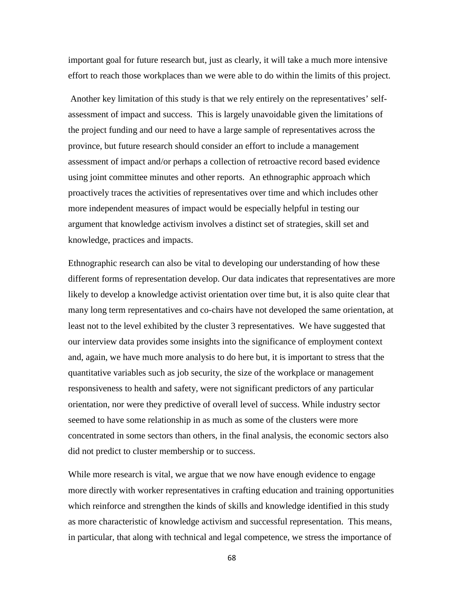important goal for future research but, just as clearly, it will take a much more intensive effort to reach those workplaces than we were able to do within the limits of this project.

Another key limitation of this study is that we rely entirely on the representatives' selfassessment of impact and success. This is largely unavoidable given the limitations of the project funding and our need to have a large sample of representatives across the province, but future research should consider an effort to include a management assessment of impact and/or perhaps a collection of retroactive record based evidence using joint committee minutes and other reports. An ethnographic approach which proactively traces the activities of representatives over time and which includes other more independent measures of impact would be especially helpful in testing our argument that knowledge activism involves a distinct set of strategies, skill set and knowledge, practices and impacts.

Ethnographic research can also be vital to developing our understanding of how these different forms of representation develop. Our data indicates that representatives are more likely to develop a knowledge activist orientation over time but, it is also quite clear that many long term representatives and co-chairs have not developed the same orientation, at least not to the level exhibited by the cluster 3 representatives. We have suggested that our interview data provides some insights into the significance of employment context and, again, we have much more analysis to do here but, it is important to stress that the quantitative variables such as job security, the size of the workplace or management responsiveness to health and safety, were not significant predictors of any particular orientation, nor were they predictive of overall level of success. While industry sector seemed to have some relationship in as much as some of the clusters were more concentrated in some sectors than others, in the final analysis, the economic sectors also did not predict to cluster membership or to success.

While more research is vital, we argue that we now have enough evidence to engage more directly with worker representatives in crafting education and training opportunities which reinforce and strengthen the kinds of skills and knowledge identified in this study as more characteristic of knowledge activism and successful representation. This means, in particular, that along with technical and legal competence, we stress the importance of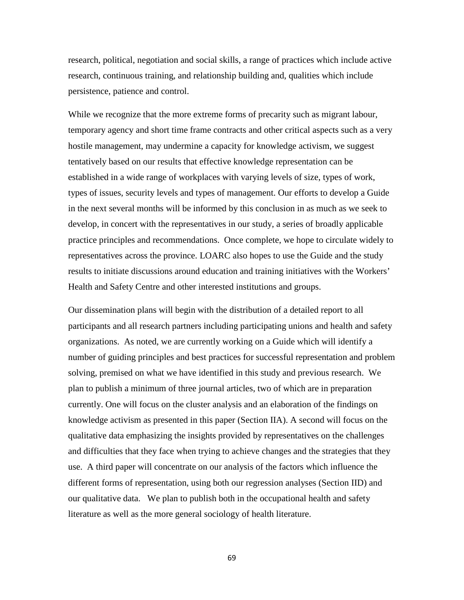research, political, negotiation and social skills, a range of practices which include active research, continuous training, and relationship building and, qualities which include persistence, patience and control.

While we recognize that the more extreme forms of precarity such as migrant labour, temporary agency and short time frame contracts and other critical aspects such as a very hostile management, may undermine a capacity for knowledge activism, we suggest tentatively based on our results that effective knowledge representation can be established in a wide range of workplaces with varying levels of size, types of work, types of issues, security levels and types of management. Our efforts to develop a Guide in the next several months will be informed by this conclusion in as much as we seek to develop, in concert with the representatives in our study, a series of broadly applicable practice principles and recommendations. Once complete, we hope to circulate widely to representatives across the province. LOARC also hopes to use the Guide and the study results to initiate discussions around education and training initiatives with the Workers' Health and Safety Centre and other interested institutions and groups.

Our dissemination plans will begin with the distribution of a detailed report to all participants and all research partners including participating unions and health and safety organizations. As noted, we are currently working on a Guide which will identify a number of guiding principles and best practices for successful representation and problem solving, premised on what we have identified in this study and previous research. We plan to publish a minimum of three journal articles, two of which are in preparation currently. One will focus on the cluster analysis and an elaboration of the findings on knowledge activism as presented in this paper (Section IIA). A second will focus on the qualitative data emphasizing the insights provided by representatives on the challenges and difficulties that they face when trying to achieve changes and the strategies that they use. A third paper will concentrate on our analysis of the factors which influence the different forms of representation, using both our regression analyses (Section IID) and our qualitative data. We plan to publish both in the occupational health and safety literature as well as the more general sociology of health literature.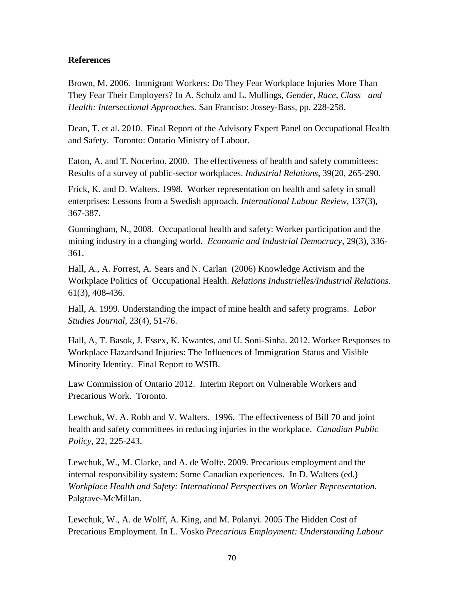## **References**

Brown, M. 2006. Immigrant Workers: Do They Fear Workplace Injuries More Than They Fear Their Employers? In A. Schulz and L. Mullings, *Gender, Race, Class and Health: Intersectional Approaches.* San Franciso: Jossey-Bass, pp. 228-258.

Dean, T. et al. 2010. Final Report of the Advisory Expert Panel on Occupational Health and Safety. Toronto: Ontario Ministry of Labour.

Eaton, A. and T. Nocerino. 2000. The effectiveness of health and safety committees: Results of a survey of public-sector workplaces. *Industrial Relations*, 39(20, 265-290.

Frick, K. and D. Walters. 1998. Worker representation on health and safety in small enterprises: Lessons from a Swedish approach. *International Labour Review*, 137(3), 367-387.

Gunningham, N., 2008. Occupational health and safety: Worker participation and the mining industry in a changing world. *Economic and Industrial Democracy,* 29(3), 336- 361.

Hall, A., A. Forrest, A. Sears and N. Carlan (2006) Knowledge Activism and the Workplace Politics of Occupational Health. *Relations Industrielles/Industrial Relations*. 61(3), 408-436.

Hall, A. 1999. Understanding the impact of mine health and safety programs. *Labor Studies Journal,* 23(4), 51-76.

Hall, A, T. Basok, J. Essex, K. Kwantes, and U. Soni-Sinha. 2012. Worker Responses to Workplace Hazardsand Injuries: The Influences of Immigration Status and Visible Minority Identity. Final Report to WSIB.

Law Commission of Ontario 2012. Interim Report on Vulnerable Workers and Precarious Work. Toronto.

Lewchuk, W. A. Robb and V. Walters. 1996. The effectiveness of Bill 70 and joint health and safety committees in reducing injuries in the workplace. *Canadian Public Policy*, 22, 225-243.

Lewchuk, W., M. Clarke, and A. de Wolfe. 2009. Precarious employment and the internal responsibility system: Some Canadian experiences. In D. Walters (ed.) *Workplace Health and Safety: International Perspectives on Worker Representation.*  Palgrave-McMillan.

Lewchuk, W., A. de Wolff, A. King, and M. Polanyi. 2005 The Hidden Cost of Precarious Employment. In L. Vosko *Precarious Employment: Understanding Labour*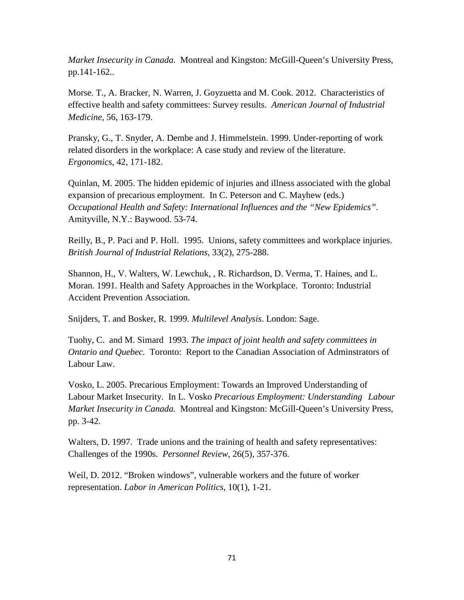*Market Insecurity in Canada.* Montreal and Kingston: McGill-Queen's University Press, pp.141-162..

Morse. T., A. Bracker, N. Warren, J. Goyzuetta and M. Cook. 2012. Characteristics of effective health and safety committees: Survey results. *American Journal of Industrial Medicine,* 56, 163-179.

Pransky, G., T. Snyder, A. Dembe and J. Himmelstein. 1999. Under-reporting of work related disorders in the workplace: A case study and review of the literature. *Ergonomics*, 42, 171-182.

Quinlan, M. 2005. The hidden epidemic of injuries and illness associated with the global expansion of precarious employment. In C. Peterson and C. Mayhew (eds.) *Occupational Health and Safety: International Influences and the "New Epidemics"*. Amityville, N.Y.: Baywood. 53-74.

Reilly, B., P. Paci and P. Holl. 1995. Unions, safety committees and workplace injuries. *British Journal of Industrial Relations,* 33(2), 275-288.

Shannon, H., V. Walters, W. Lewchuk, , R. Richardson, D. Verma, T. Haines, and L. Moran. 1991. Health and Safety Approaches in the Workplace. Toronto: Industrial Accident Prevention Association.

Snijders, T. and Bosker, R. 1999. *Multilevel Analysis*. London: Sage.

Tuohy, C. and M. Simard 1993. *The impact of joint health and safety committees in Ontario and Quebec.* Toronto: Report to the Canadian Association of Adminstrators of Labour Law.

Vosko, L. 2005. Precarious Employment: Towards an Improved Understanding of Labour Market Insecurity. In L. Vosko *Precarious Employment: Understanding Labour Market Insecurity in Canada.* Montreal and Kingston: McGill-Queen's University Press, pp. 3-42.

Walters, D. 1997. Trade unions and the training of health and safety representatives: Challenges of the 1990s. *Personnel Review*, 26(5), 357-376.

Weil, D. 2012. "Broken windows", vulnerable workers and the future of worker representation. *Labor in American Politics,* 10(1), 1-21.